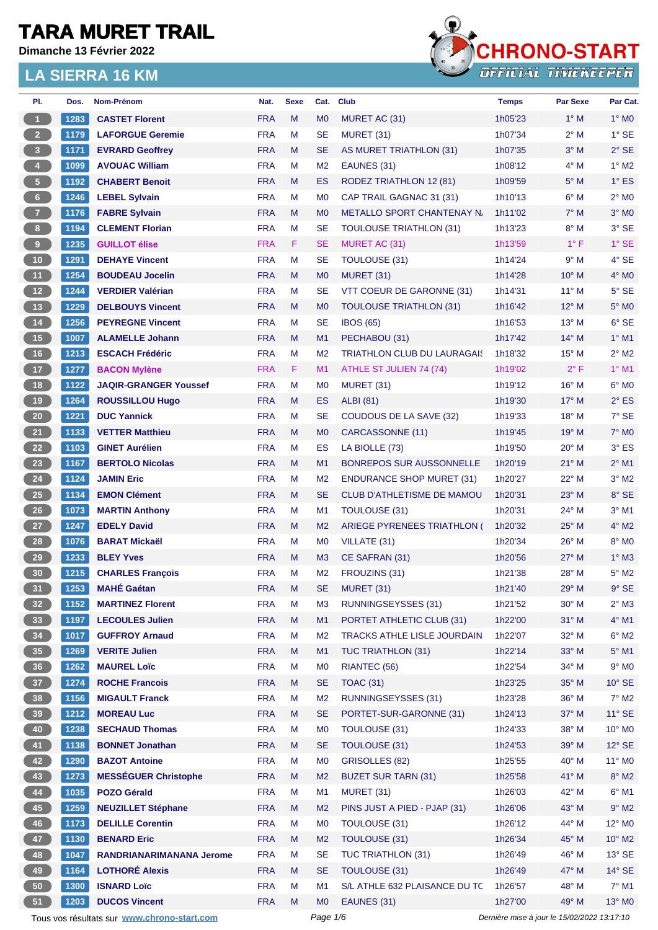**Dimanche 13 Février 2022**



| PI.             | Dos. | <b>Nom-Prénom</b>                           | Nat.       | <b>Sexe</b> | Cat.           | <b>Club</b>                        | <b>Temps</b>                                | <b>Par Sexe</b> | Par Cat.                   |  |
|-----------------|------|---------------------------------------------|------------|-------------|----------------|------------------------------------|---------------------------------------------|-----------------|----------------------------|--|
| $\overline{1}$  | 1283 | <b>CASTET Florent</b>                       | <b>FRA</b> | M           | M <sub>0</sub> | MURET AC (31)                      | 1h05'23                                     | $1^\circ$ M     | $1^\circ$ MO               |  |
| 2 <sup>2</sup>  | 1179 | <b>LAFORGUE Geremie</b>                     | <b>FRA</b> | M           | <b>SE</b>      | <b>MURET (31)</b>                  | 1h07'34                                     | $2^{\circ}$ M   | $1^\circ$ SE               |  |
| 3 <sup>1</sup>  | 1171 | <b>EVRARD Geoffrey</b>                      | <b>FRA</b> | M           | <b>SE</b>      | AS MURET TRIATHLON (31)            | 1h07'35                                     | $3^\circ$ M     | $2°$ SE                    |  |
| $\overline{4}$  | 1099 | <b>AVOUAC William</b>                       | <b>FRA</b> | M           | M <sub>2</sub> | EAUNES (31)                        | 1h08'12                                     | $4^\circ$ M     | $1^\circ$ M2               |  |
| 5               | 1192 | <b>CHABERT Benoit</b>                       | <b>FRA</b> | M           | <b>ES</b>      | <b>RODEZ TRIATHLON 12 (81)</b>     | 1h09'59                                     | $5^\circ$ M     | $1^\circ$ ES               |  |
| 6 <sup>1</sup>  | 1246 | <b>LEBEL Sylvain</b>                        | <b>FRA</b> | M           | M <sub>0</sub> | CAP TRAIL GAGNAC 31 (31)           | 1h10'13                                     | $6^\circ$ M     | $2^{\circ}$ MO             |  |
| 7 <sup>2</sup>  | 1176 | <b>FABRE Sylvain</b>                        | <b>FRA</b> | M           | M <sub>0</sub> | <b>METALLO SPORT CHANTENAY N.</b>  | 1h11'02                                     | $7^\circ$ M     | $3°$ MO                    |  |
| 8 <sub>1</sub>  | 1194 | <b>CLEMENT Florian</b>                      | <b>FRA</b> | M           | <b>SE</b>      | <b>TOULOUSE TRIATHLON (31)</b>     | 1h13'23                                     | $8^\circ$ M     | $3°$ SE                    |  |
| 9               | 1235 | <b>GUILLOT</b> élise                        | <b>FRA</b> | F           | <b>SE</b>      | MURET AC (31)                      | 1h13'59                                     | $1^{\circ}$ F   | $1^\circ$ SE               |  |
| 10 <sub>1</sub> | 1291 | <b>DEHAYE Vincent</b>                       | <b>FRA</b> | M           | <b>SE</b>      | TOULOUSE (31)                      | 1h14'24                                     | 9° M            | $4°$ SE                    |  |
| 11              | 1254 | <b>BOUDEAU Jocelin</b>                      | <b>FRA</b> | M           | M <sub>0</sub> | MURET (31)                         | 1h14'28                                     | $10^{\circ}$ M  | $4^\circ$ MO               |  |
| $12$            | 1244 | <b>VERDIER Valérian</b>                     | <b>FRA</b> | м           | <b>SE</b>      | VTT COEUR DE GARONNE (31)          | 1h14'31                                     | $11^{\circ}$ M  | $5^\circ$ SE               |  |
| 13              | 1229 | <b>DELBOUYS Vincent</b>                     | <b>FRA</b> | M           | M <sub>0</sub> | <b>TOULOUSE TRIATHLON (31)</b>     | 1h16'42                                     | $12^{\circ}$ M  | $5^\circ$ MO               |  |
| 14              | 1256 | <b>PEYREGNE Vincent</b>                     | <b>FRA</b> | M           | <b>SE</b>      | <b>IBOS (65)</b>                   | 1h16'53                                     | $13^{\circ}$ M  | $6°$ SE                    |  |
| 15              | 1007 | <b>ALAMELLE Johann</b>                      | <b>FRA</b> | M           | M1             | PECHABOU (31)                      | 1h17'42                                     | $14^{\circ}$ M  | $1°$ M1                    |  |
| 16              | 1213 | <b>ESCACH Frédéric</b>                      | <b>FRA</b> | M           | M <sub>2</sub> | <b>TRIATHLON CLUB DU LAURAGAIS</b> | 1h18'32                                     | $15^{\circ}$ M  | $2^{\circ}$ M <sub>2</sub> |  |
| 17              | 1277 | <b>BACON Mylène</b>                         | <b>FRA</b> | F.          | M <sub>1</sub> | ATHLE ST JULIEN 74 (74)            | 1h19'02                                     | $2^{\circ}$ F   | $1°$ M1                    |  |
| 18              | 1122 | <b>JAQIR-GRANGER Youssef</b>                | <b>FRA</b> | M           | M <sub>0</sub> | <b>MURET (31)</b>                  | 1h19'12                                     | $16^{\circ}$ M  | $6^{\circ}$ MO             |  |
| 19              | 1264 | <b>ROUSSILLOU Hugo</b>                      | <b>FRA</b> | M           | <b>ES</b>      | <b>ALBI</b> (81)                   | 1h19'30                                     | $17^{\circ}$ M  | $2^{\circ}$ ES             |  |
| ${\bf 20}$      | 1221 | <b>DUC Yannick</b>                          | <b>FRA</b> | M           | <b>SE</b>      | <b>COUDOUS DE LA SAVE (32)</b>     | 1h19'33                                     | $18^{\circ}$ M  | $7°$ SE                    |  |
| 21              | 1133 | <b>VETTER Matthieu</b>                      | <b>FRA</b> | M           | M <sub>0</sub> | CARCASSONNE (11)                   | 1h19'45                                     | $19°$ M         | $7°$ MO                    |  |
| 22              | 1103 | <b>GINET Aurélien</b>                       | <b>FRA</b> | M           | <b>ES</b>      | LA BIOLLE (73)                     | 1h19'50                                     | $20^{\circ}$ M  | $3°$ ES                    |  |
| 23              | 1167 | <b>BERTOLO Nicolas</b>                      | <b>FRA</b> | M           | M1             | <b>BONREPOS SUR AUSSONNELLE</b>    | 1h20'19                                     | $21^{\circ}$ M  | $2^{\circ}$ M1             |  |
| 24              | 1124 | <b>JAMIN Eric</b>                           | <b>FRA</b> | M           | M <sub>2</sub> | <b>ENDURANCE SHOP MURET (31)</b>   | 1h20'27                                     | 22° M           | $3°$ M2                    |  |
| 25              | 1134 | <b>EMON Clément</b>                         | <b>FRA</b> | M           | <b>SE</b>      | <b>CLUB D'ATHLETISME DE MAMOU</b>  | 1h20'31                                     | $23^\circ$ M    | $8°$ SE                    |  |
| 26              | 1073 | <b>MARTIN Anthony</b>                       | <b>FRA</b> | M           | M1             | <b>TOULOUSE (31)</b>               | 1h20'31                                     | 24° M           | $3°$ M1                    |  |
| 27              | 1247 | <b>EDELY David</b>                          | <b>FRA</b> | M           | M <sub>2</sub> | ARIEGE PYRENEES TRIATHLON (        | 1h20'32                                     | $25^{\circ}$ M  | $4^\circ$ M2               |  |
| 28              | 1076 | <b>BARAT Mickaël</b>                        | <b>FRA</b> | M           | M <sub>0</sub> | VILLATE (31)                       | 1h20'34                                     | $26^{\circ}$ M  | 8° MO                      |  |
| 29              | 1233 | <b>BLEY Yves</b>                            | <b>FRA</b> | M           | M <sub>3</sub> | CE SAFRAN (31)                     | 1h20'56                                     | $27^\circ$ M    | $1^\circ$ M3               |  |
| 30              | 1215 | <b>CHARLES Francois</b>                     | <b>FRA</b> | M           | M <sub>2</sub> | FROUZINS (31)                      | 1h21'38                                     | $28^{\circ}$ M  | $5^\circ$ M2               |  |
| 31              | 1253 | <b>MAHÉ Gaétan</b>                          | <b>FRA</b> | M           | <b>SE</b>      | MURET (31)                         | 1h21'40                                     | $29°$ M         | $9°$ SE                    |  |
| 32 <sub>2</sub> | 1152 | <b>MARTINEZ Florent</b>                     | <b>FRA</b> | M           | M <sub>3</sub> | <b>RUNNINGSEYSSES (31)</b>         | 1h21'52                                     | 30° M           | $2^{\circ}$ M3             |  |
| 33 <sup>°</sup> | 1197 | <b>LECOULES Julien</b>                      | <b>FRA</b> | M           | M1             | PORTET ATHLETIC CLUB (31)          | 1h22'00                                     | 31° M           | $4^\circ$ M1               |  |
| 34              | 1017 | <b>GUFFROY Arnaud</b>                       | <b>FRA</b> | М           | M <sub>2</sub> | <b>TRACKS ATHLE LISLE JOURDAIN</b> | 1h22'07                                     | 32° M           | $6^{\circ}$ M2             |  |
| 35 <sub>o</sub> | 1269 | <b>VERITE Julien</b>                        | <b>FRA</b> | M           | M1             | TUC TRIATHLON (31)                 | 1h22'14                                     | $33^\circ$ M    | $5^\circ$ M1               |  |
| 36 <sup>°</sup> | 1262 | <b>MAUREL Loïc</b>                          | <b>FRA</b> | M           | M <sub>0</sub> | RIANTEC (56)                       | 1h22'54                                     | 34° M           | $9°$ MO                    |  |
| 37 <sup>°</sup> | 1274 | <b>ROCHE Francois</b>                       | <b>FRA</b> | M           | <b>SE</b>      | <b>TOAC (31)</b>                   | 1h23'25                                     | 35° M           | $10^{\circ}$ SE            |  |
| 38              | 1156 | <b>MIGAULT Franck</b>                       | <b>FRA</b> | M           | M <sub>2</sub> | <b>RUNNINGSEYSSES (31)</b>         | 1h23'28                                     | 36° M           | $7^\circ$ M2               |  |
| 39              | 1212 | <b>MOREAU Luc</b>                           | <b>FRA</b> | M           | <b>SE</b>      | PORTET-SUR-GARONNE (31)            | 1h24'13                                     | 37° M           | $11^{\circ}$ SE            |  |
| 40              | 1238 | <b>SECHAUD Thomas</b>                       | <b>FRA</b> | М           | M <sub>0</sub> | <b>TOULOUSE (31)</b>               | 1h24'33                                     | 38° M           | 10° M <sub>0</sub>         |  |
| 41              | 1138 | <b>BONNET Jonathan</b>                      | <b>FRA</b> | M           | <b>SE</b>      | TOULOUSE (31)                      | 1h24'53                                     | 39° M           | $12^{\circ}$ SE            |  |
| 42              | 1290 | <b>BAZOT Antoine</b>                        | <b>FRA</b> | М           | M <sub>0</sub> | <b>GRISOLLES (82)</b>              | 1h25'55                                     | 40° M           | 11° MO                     |  |
| 43              | 1273 | <b>MESSÉGUER Christophe</b>                 | <b>FRA</b> | M           | M <sub>2</sub> | <b>BUZET SUR TARN (31)</b>         | 1h25'58                                     | 41° M           | $8^\circ$ M2               |  |
| 44              | 1035 | <b>POZO Gérald</b>                          | <b>FRA</b> | M           | M1             | <b>MURET (31)</b>                  | 1h26'03                                     | 42° M           | $6^{\circ}$ M1             |  |
| 45              |      |                                             | <b>FRA</b> | M           | M <sub>2</sub> | PINS JUST A PIED - PJAP (31)       | 1h26'06                                     | 43° M           | $9^\circ$ M2               |  |
|                 | 1259 | <b>NEUZILLET Stéphane</b>                   | <b>FRA</b> | M           | M <sub>0</sub> | <b>TOULOUSE (31)</b>               | 1h26'12                                     | 44° M           | 12° MO                     |  |
| 46              | 1173 | <b>DELILLE Corentin</b>                     |            |             |                |                                    |                                             |                 |                            |  |
| 47              | 1130 | <b>BENARD Eric</b>                          | <b>FRA</b> | M           | M <sub>2</sub> | TOULOUSE (31)                      | 1h26'34                                     | 45° M           | $10^{\circ}$ M2            |  |
| 48              | 1047 | <b>RANDRIANARIMANANA Jerome</b>             | <b>FRA</b> | М           | <b>SE</b>      | <b>TUC TRIATHLON (31)</b>          | 1h26'49                                     | 46° M           | $13^\circ$ SE              |  |
| 49              | 1164 | <b>LOTHORÉ Alexis</b>                       | <b>FRA</b> | M           | <b>SE</b>      | TOULOUSE (31)                      | 1h26'49                                     | 47° M           | $14^\circ$ SE              |  |
| 50              | 1300 | <b>ISNARD Loïc</b>                          | <b>FRA</b> | M           | M <sub>1</sub> | S/L ATHLE 632 PLAISANCE DU TC      | 1h26'57                                     | $48^\circ$ M    | $7^\circ$ M1               |  |
| 51              | 1203 | <b>DUCOS Vincent</b>                        | <b>FRA</b> | M           | M <sub>0</sub> | EAUNES (31)                        | 1h27'00                                     | 49° M           | 13° MO                     |  |
|                 |      | Tous vos résultats sur www.chrono-start.com |            |             | Page 1/6       |                                    | Dernière mise à jour le 15/02/2022 13:17:10 |                 |                            |  |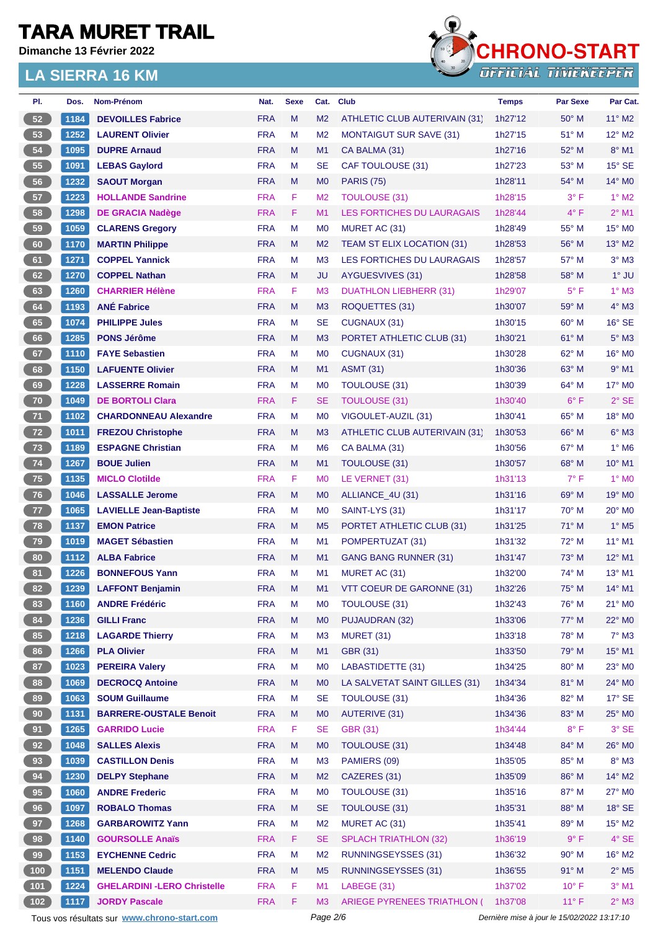**Dimanche 13 Février 2022**



| PI.             | Dos. | Nom-Prénom                                  | Nat.       | <b>Sexe</b> | Cat.           | <b>Club</b>                        | <b>Temps</b>                                | <b>Par Sexe</b> | Par Cat.                 |
|-----------------|------|---------------------------------------------|------------|-------------|----------------|------------------------------------|---------------------------------------------|-----------------|--------------------------|
| 52              | 1184 | <b>DEVOILLES Fabrice</b>                    | <b>FRA</b> | M           | M <sub>2</sub> | ATHLETIC CLUB AUTERIVAIN (31)      | 1h27'12                                     | $50^\circ$ M    | $11^{\circ}$ M2          |
| 53              | 1252 | <b>LAURENT Olivier</b>                      | <b>FRA</b> | M           | M <sub>2</sub> | <b>MONTAIGUT SUR SAVE (31)</b>     | 1h27'15                                     | 51° M           | $12^{\circ}$ M2          |
| ${\bf 54}$      | 1095 | <b>DUPRE Arnaud</b>                         | <b>FRA</b> | M           | M1             | CA BALMA (31)                      | 1h27'16                                     | 52° M           | $8^\circ$ M1             |
| 55              | 1091 | <b>LEBAS Gaylord</b>                        | <b>FRA</b> | M           | SE             | CAF TOULOUSE (31)                  | 1h27'23                                     | $53^\circ$ M    | $15^\circ$ SE            |
| 56              | 1232 | <b>SAOUT Morgan</b>                         | <b>FRA</b> | M           | M <sub>0</sub> | <b>PARIS (75)</b>                  | 1h28'11                                     | 54° M           | 14° M0                   |
| 57              | 1223 | <b>HOLLANDE Sandrine</b>                    | <b>FRA</b> | F           | M <sub>2</sub> | <b>TOULOUSE (31)</b>               | 1h28'15                                     | $3^{\circ}$ F   | $1^\circ$ M2             |
| 58              | 1298 | <b>DE GRACIA Nadège</b>                     | <b>FRA</b> | F           | M1             | <b>LES FORTICHES DU LAURAGAIS</b>  | 1h28'44                                     | $4^{\circ}$ F   | $2^{\circ}$ M1           |
| 59              | 1059 | <b>CLARENS Gregory</b>                      | <b>FRA</b> | M           | M <sub>0</sub> | MURET AC (31)                      | 1h28'49                                     | $55^{\circ}$ M  | 15° MO                   |
| 60              | 1170 | <b>MARTIN Philippe</b>                      | <b>FRA</b> | M           | M <sub>2</sub> | TEAM ST ELIX LOCATION (31)         | 1h28'53                                     | 56° M           | $13^\circ$ M2            |
| 61              | 1271 | <b>COPPEL Yannick</b>                       | <b>FRA</b> | M           | M <sub>3</sub> | LES FORTICHES DU LAURAGAIS         | 1h28'57                                     | 57° M           | $3°$ M $3$               |
| 62              | 1270 | <b>COPPEL Nathan</b>                        | <b>FRA</b> | M           | <b>JU</b>      | AYGUESVIVES (31)                   | 1h28'58                                     | $58^{\circ}$ M  | $1^\circ$ JU             |
| 63              | 1260 | <b>CHARRIER Hélène</b>                      | <b>FRA</b> | F           | M <sub>3</sub> | <b>DUATHLON LIEBHERR (31)</b>      | 1h29'07                                     | $5^{\circ}$ F   | $1^\circ$ M3             |
| 64              | 1193 | <b>ANÉ Fabrice</b>                          | <b>FRA</b> | M           | M <sub>3</sub> | ROQUETTES (31)                     | 1h30'07                                     | 59° M           | $4^\circ$ M3             |
| 65              | 1074 | <b>PHILIPPE Jules</b>                       | <b>FRA</b> | M           | <b>SE</b>      | CUGNAUX (31)                       | 1h30'15                                     | $60^\circ$ M    | $16°$ SE                 |
| 66              | 1285 | <b>PONS Jérôme</b>                          | <b>FRA</b> | M           | M <sub>3</sub> | PORTET ATHLETIC CLUB (31)          | 1h30'21                                     | $61^\circ$ M    | $5^\circ$ M3             |
| 67              | 1110 | <b>FAYE Sebastien</b>                       | <b>FRA</b> | M           | M <sub>0</sub> | CUGNAUX (31)                       | 1h30'28                                     | 62° M           | 16° M0                   |
| 68              | 1150 | <b>LAFUENTE Olivier</b>                     | <b>FRA</b> | M           | M <sub>1</sub> | <b>ASMT (31)</b>                   | 1h30'36                                     | $63^\circ$ M    | $9°$ M1                  |
| 69              | 1228 | <b>LASSERRE Romain</b>                      | <b>FRA</b> | M           | M <sub>0</sub> | TOULOUSE (31)                      | 1h30'39                                     | 64° M           | $17^\circ$ MO            |
| 70              | 1049 | <b>DE BORTOLI Clara</b>                     | <b>FRA</b> | F           | <b>SE</b>      | <b>TOULOUSE (31)</b>               | 1h30'40                                     | $6^{\circ}$ F   | $2°$ SE                  |
| $71$            | 1102 | <b>CHARDONNEAU Alexandre</b>                | <b>FRA</b> | M           | M <sub>0</sub> | VIGOULET-AUZIL (31)                | 1h30'41                                     | $65^{\circ}$ M  | 18° MO                   |
| 72              | 1011 | <b>FREZOU Christophe</b>                    | <b>FRA</b> | M           | M <sub>3</sub> | ATHLETIC CLUB AUTERIVAIN (31)      | 1h30'53                                     | $66^{\circ}$ M  | $6°$ M3                  |
| 73              | 1189 | <b>ESPAGNE Christian</b>                    | <b>FRA</b> | M           | M <sub>6</sub> | CA BALMA (31)                      | 1h30'56                                     | 67° M           | $1^\circ$ M6             |
|                 |      |                                             |            |             |                |                                    |                                             |                 |                          |
| $74$            | 1267 | <b>BOUE Julien</b>                          | <b>FRA</b> | M           | M1             | TOULOUSE (31)                      | 1h30'57                                     | $68^\circ$ M    | 10° M1                   |
| 75              | 1135 | <b>MICLO Clotilde</b>                       | <b>FRA</b> | F           | M <sub>0</sub> | LE VERNET (31)                     | 1h31'13                                     | $7^{\circ}$ F   | 1° M <sub>0</sub>        |
| 76              | 1046 | <b>LASSALLE Jerome</b>                      | <b>FRA</b> | M           | M <sub>0</sub> | ALLIANCE_4U (31)                   | 1h31'16                                     | 69° M           | 19° MO                   |
| 77              | 1065 | <b>LAVIELLE Jean-Baptiste</b>               | <b>FRA</b> | M           | M <sub>0</sub> | SAINT-LYS (31)                     | 1h31'17                                     | $70^\circ$ M    | $20^\circ$ MO            |
| 78              | 1137 | <b>EMON Patrice</b>                         | <b>FRA</b> | M           | M <sub>5</sub> | PORTET ATHLETIC CLUB (31)          | 1h31'25                                     | 71° M           | $1^\circ$ M <sub>5</sub> |
| 79              | 1019 | <b>MAGET Sébastien</b>                      | <b>FRA</b> | M           | M <sub>1</sub> | POMPERTUZAT (31)                   | 1h31'32                                     | $72^{\circ}$ M  | 11° M1                   |
| 80              | 1112 | <b>ALBA Fabrice</b>                         | <b>FRA</b> | M           | M1             | <b>GANG BANG RUNNER (31)</b>       | 1h31'47                                     | 73° M           | 12° M1                   |
| 81              | 1226 | <b>BONNEFOUS Yann</b>                       | <b>FRA</b> | M           | M <sub>1</sub> | MURET AC (31)                      | 1h32'00                                     | 74° M           | $13^{\circ}$ M1          |
| 82              | 1239 | <b>LAFFONT Benjamin</b>                     | <b>FRA</b> | M           | M1             | VTT COEUR DE GARONNE (31)          | 1h32'26                                     | $75^\circ$ M    | $14^{\circ}$ M1          |
| 83              | 1160 | <b>ANDRE Frédéric</b>                       | <b>FRA</b> | M           | M <sub>0</sub> | TOULOUSE (31)                      | 1h32'43                                     | 76° M           | 21° MO                   |
| 84              | 1236 | <b>GILLI Franc</b>                          | <b>FRA</b> | M           | M <sub>0</sub> | PUJAUDRAN (32)                     | 1h33'06                                     | 77° M           | 22° MO                   |
| 85              | 1218 | <b>LAGARDE Thierry</b>                      | <b>FRA</b> | M           | M <sub>3</sub> | <b>MURET (31)</b>                  | 1h33'18                                     | 78° M           | $7^\circ$ M3             |
| 86              | 1266 | <b>PLA Olivier</b>                          | <b>FRA</b> | M           | M1             | GBR (31)                           | 1h33'50                                     | 79° M           | 15° M1                   |
| 87              | 1023 | <b>PEREIRA Valery</b>                       | <b>FRA</b> | M           | M <sub>0</sub> | LABASTIDETTE (31)                  | 1h34'25                                     | 80° M           | 23° MO                   |
| 88              | 1069 | <b>DECROCQ Antoine</b>                      | <b>FRA</b> | M           | M <sub>0</sub> | LA SALVETAT SAINT GILLES (31)      | 1h34'34                                     | 81° M           | 24° MO                   |
| 89              | 1063 | <b>SOUM Guillaume</b>                       | <b>FRA</b> | M           | <b>SE</b>      | TOULOUSE (31)                      | 1h34'36                                     | 82° M           | $17^\circ$ SE            |
| 90 <sub>o</sub> | 1131 | <b>BARRERE-OUSTALE Benoit</b>               | <b>FRA</b> | M           | M <sub>0</sub> | <b>AUTERIVE (31)</b>               | 1h34'36                                     | 83° M           | 25° MO                   |
| 91              | 1265 | <b>GARRIDO Lucie</b>                        | <b>FRA</b> | F           | <b>SE</b>      | <b>GBR (31)</b>                    | 1h34'44                                     | $8^{\circ}$ F   | 3° SE                    |
| 92              | 1048 | <b>SALLES Alexis</b>                        | <b>FRA</b> | M           | M <sub>0</sub> | TOULOUSE (31)                      | 1h34'48                                     | 84° M           | 26° MO                   |
| 93              | 1039 | <b>CASTILLON Denis</b>                      | <b>FRA</b> | M           | M <sub>3</sub> | PAMIERS (09)                       | 1h35'05                                     | 85° M           | $8^\circ$ M3             |
| 94              | 1230 | <b>DELPY Stephane</b>                       | <b>FRA</b> | M           | M <sub>2</sub> | CAZERES (31)                       | 1h35'09                                     | 86° M           | 14° M2                   |
| 95 <sub>o</sub> | 1060 | <b>ANDRE Frederic</b>                       | <b>FRA</b> | M           | M <sub>0</sub> | TOULOUSE (31)                      | 1h35'16                                     | 87° M           | 27° M0                   |
| 96              | 1097 | <b>ROBALO Thomas</b>                        | <b>FRA</b> | M           | <b>SE</b>      | TOULOUSE (31)                      | 1h35'31                                     | 88° M           | $18^\circ$ SE            |
| 97              | 1268 | <b>GARBAROWITZ Yann</b>                     | <b>FRA</b> | M           | M <sub>2</sub> | MURET AC (31)                      | 1h35'41                                     | 89° M           | $15^{\circ}$ M2          |
| 98              | 1140 | <b>GOURSOLLE Anaïs</b>                      | <b>FRA</b> | F           | <b>SE</b>      | <b>SPLACH TRIATHLON (32)</b>       | 1h36'19                                     | 9° F            | $4^\circ$ SE             |
| 99              | 1153 | <b>EYCHENNE Cedric</b>                      | <b>FRA</b> | M           | M <sub>2</sub> | <b>RUNNINGSEYSSES (31)</b>         | 1h36'32                                     | $90^\circ$ M    | 16° M2                   |
| $100$           | 1151 | <b>MELENDO Claude</b>                       | <b>FRA</b> | M           | M <sub>5</sub> | <b>RUNNINGSEYSSES (31)</b>         | 1h36'55                                     | 91° M           | $2^{\circ}$ M5           |
| $101$           | 1224 | <b>GHELARDINI -LERO Christelle</b>          | <b>FRA</b> | F           | M1             | LABEGE (31)                        | 1h37'02                                     | $10^{\circ}$ F  | $3°$ M1                  |
| $102$           | 1117 | <b>JORDY Pascale</b>                        | <b>FRA</b> | F           | M <sub>3</sub> | <b>ARIEGE PYRENEES TRIATHLON (</b> | 1h37'08                                     | $11^{\circ}$ F  | $2^{\circ}$ M3           |
|                 |      | Tous vos résultats sur www.chrono-start.com |            |             | Page 2/6       |                                    | Dernière mise à jour le 15/02/2022 13:17:10 |                 |                          |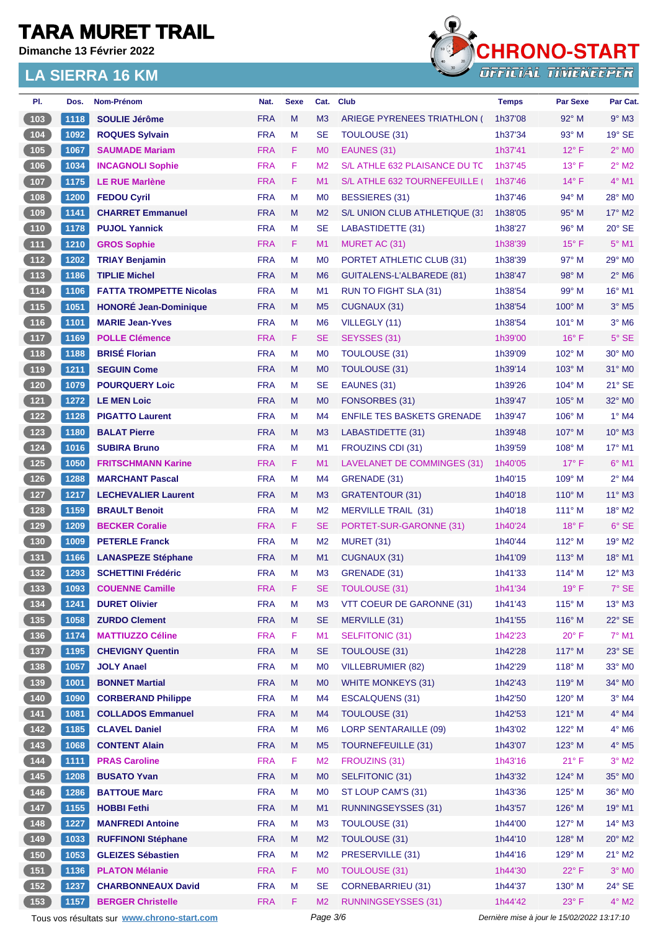**Dimanche 13 Février 2022**



| PI.                                            | Dos. | Nom-Prénom                                  | Nat.       | <b>Sexe</b> | Cat.           | <b>Club</b>                       | <b>Temps</b>                                | <b>Par Sexe</b> | Par Cat.                 |
|------------------------------------------------|------|---------------------------------------------|------------|-------------|----------------|-----------------------------------|---------------------------------------------|-----------------|--------------------------|
| (103)                                          | 1118 | <b>SOULIE Jérôme</b>                        | <b>FRA</b> | M           | M <sub>3</sub> | ARIEGE PYRENEES TRIATHLON (       | 1h37'08                                     | 92° M           | $9°$ M3                  |
| $(104)$                                        | 1092 | <b>ROQUES Sylvain</b>                       | <b>FRA</b> | M           | <b>SE</b>      | <b>TOULOUSE (31)</b>              | 1h37'34                                     | $93^\circ$ M    | $19^\circ$ SE            |
| (105)                                          | 1067 | <b>SAUMADE Mariam</b>                       | <b>FRA</b> | F           | M <sub>0</sub> | EAUNES (31)                       | 1h37'41                                     | $12^{\circ}$ F  | $2^\circ$ MO             |
| 106                                            | 1034 | <b>INCAGNOLI Sophie</b>                     | <b>FRA</b> | F           | M <sub>2</sub> | S/L ATHLE 632 PLAISANCE DU TC     | 1h37'45                                     | $13^{\circ}$ F  | $2^{\circ}$ M2           |
| $\boxed{107}$                                  | 1175 | <b>LE RUE Marlène</b>                       | <b>FRA</b> | F           | M1             | S/L ATHLE 632 TOURNEFEUILLE       | 1h37'46                                     | $14^{\circ}$ F  | $4^{\circ}$ M1           |
| (108)                                          | 1200 | <b>FEDOU Cyril</b>                          | <b>FRA</b> | M           | M <sub>0</sub> | <b>BESSIERES (31)</b>             | 1h37'46                                     | 94° M           | 28° MO                   |
| (109)                                          | 1141 | <b>CHARRET Emmanuel</b>                     | <b>FRA</b> | M           | M <sub>2</sub> | S/L UNION CLUB ATHLETIQUE (31     | 1h38'05                                     | $95^\circ$ M    | $17^\circ$ M2            |
| 110                                            | 1178 | <b>PUJOL Yannick</b>                        | <b>FRA</b> | м           | <b>SE</b>      | LABASTIDETTE (31)                 | 1h38'27                                     | $96^\circ$ M    | $20^\circ$ SE            |
| (111)                                          | 1210 | <b>GROS Sophie</b>                          | <b>FRA</b> | F           | M1             | MURET AC (31)                     | 1h38'39                                     | $15^{\circ}$ F  | $5^{\circ}$ M1           |
| (112)                                          | 1202 | <b>TRIAY Benjamin</b>                       | <b>FRA</b> | M           | M <sub>0</sub> | PORTET ATHLETIC CLUB (31)         | 1h38'39                                     | 97° M           | 29° M0                   |
| (113)                                          | 1186 | <b>TIPLIE Michel</b>                        | <b>FRA</b> | M           | M <sub>6</sub> | GUITALENS-L'ALBAREDE (81)         | 1h38'47                                     | $98^\circ$ M    | $2^{\circ}$ M6           |
| (114)                                          | 1106 | <b>FATTA TROMPETTE Nicolas</b>              | <b>FRA</b> | м           | M1             | RUN TO FIGHT SLA (31)             | 1h38'54                                     | 99° M           | 16° M1                   |
| (115)                                          | 1051 | <b>HONORÉ Jean-Dominique</b>                | <b>FRA</b> | M           | M <sub>5</sub> | CUGNAUX (31)                      | 1h38'54                                     | $100^\circ$ M   | $3°$ M <sub>5</sub>      |
| (116)                                          | 1101 | <b>MARIE Jean-Yves</b>                      | <b>FRA</b> | М           | M <sub>6</sub> | VILLEGLY (11)                     | 1h38'54                                     | $101^\circ$ M   | $3^\circ$ M <sub>6</sub> |
| (117)                                          | 1169 | <b>POLLE Clémence</b>                       | <b>FRA</b> | F           | <b>SE</b>      | SEYSSES (31)                      | 1h39'00                                     | $16^{\circ}$ F  | $5^\circ$ SE             |
| 118                                            | 1188 | <b>BRISÉ Florian</b>                        | <b>FRA</b> | м           | M <sub>0</sub> | <b>TOULOUSE (31)</b>              | 1h39'09                                     | $102^\circ$ M   | $30^\circ$ MO            |
| (119)                                          | 1211 | <b>SEGUIN Come</b>                          | <b>FRA</b> | M           | M <sub>0</sub> | <b>TOULOUSE (31)</b>              | 1h39'14                                     | 103° M          | $31^\circ$ MO            |
| $120$                                          | 1079 | <b>POURQUERY Loic</b>                       | <b>FRA</b> | M           | <b>SE</b>      | EAUNES (31)                       | 1h39'26                                     | $104^\circ$ M   | 21° SE                   |
| (121)                                          | 1272 | <b>LE MEN Loic</b>                          | <b>FRA</b> | M           | M <sub>0</sub> | FONSORBES (31)                    | 1h39'47                                     | 105° M          | 32° MO                   |
| (122)                                          | 1128 | <b>PIGATTO Laurent</b>                      | <b>FRA</b> | м           | M4             | <b>ENFILE TES BASKETS GRENADE</b> | 1h39'47                                     | $106^\circ$ M   | $1°$ M4                  |
| (123)                                          | 1180 | <b>BALAT Pierre</b>                         | <b>FRA</b> | M           | M <sub>3</sub> | LABASTIDETTE (31)                 | 1h39'48                                     | $107^\circ$ M   | $10^{\circ}$ M3          |
| $124$                                          | 1016 | <b>SUBIRA Bruno</b>                         | <b>FRA</b> | М           | M <sub>1</sub> | FROUZINS CDI (31)                 | 1h39'59                                     | $108^\circ$ M   | 17° M1                   |
| (125)                                          | 1050 | <b>FRITSCHMANN Karine</b>                   | <b>FRA</b> | F           | M1             | LAVELANET DE COMMINGES (31)       | 1h40'05                                     | $17^{\circ}$ F  | $6°$ M1                  |
| $\overline{126}$                               | 1288 | <b>MARCHANT Pascal</b>                      | <b>FRA</b> | M           | M4             | GRENADE (31)                      | 1h40'15                                     | $109^\circ$ M   | $2^{\circ}$ M4           |
| (127)                                          | 1217 | <b>LECHEVALIER Laurent</b>                  | <b>FRA</b> | M           | M <sub>3</sub> | <b>GRATENTOUR (31)</b>            | 1h40'18                                     | $110^{\circ}$ M | $11^{\circ}$ M3          |
| $128$                                          | 1159 | <b>BRAULT Benoit</b>                        | <b>FRA</b> | M           | M <sub>2</sub> | MERVILLE TRAIL (31)               | 1h40'18                                     | $111^\circ$ M   | 18° M2                   |
| (129)                                          | 1209 | <b>BECKER Coralie</b>                       | <b>FRA</b> | F           | <b>SE</b>      | PORTET-SUR-GARONNE (31)           | 1h40'24                                     | $18^{\circ}$ F  | $6°$ SE                  |
| (130)                                          | 1009 | <b>PETERLE Franck</b>                       | <b>FRA</b> | м           | M <sub>2</sub> | MURET (31)                        | 1h40'44                                     | $112^{\circ}$ M | 19° M2                   |
| (131)                                          | 1166 | <b>LANASPEZE Stéphane</b>                   | <b>FRA</b> | M           | M1             | CUGNAUX (31)                      | 1h41'09                                     | $113^\circ$ M   | 18° M1                   |
| $132$                                          | 1293 | <b>SCHETTINI Frédéric</b>                   | <b>FRA</b> | M           | M <sub>3</sub> | GRENADE (31)                      | 1h41'33                                     | 114° M          | $12^{\circ}$ M3          |
| (133)                                          | 1093 | <b>COUENNE Camille</b>                      | <b>FRA</b> | F           | <b>SE</b>      | <b>TOULOUSE (31)</b>              | 1h41'34                                     | 19°F            | $7^\circ$ SE             |
| $\begin{array}{c} \n \text{134}\n \end{array}$ | 1241 | <b>DURET Olivier</b>                        | <b>FRA</b> | M           | M <sub>3</sub> | VTT COEUR DE GARONNE (31)         | 1h41'43                                     | $115^\circ$ M   | $13^\circ$ M3            |
| (135)                                          | 1058 | <b>ZURDO Clement</b>                        | <b>FRA</b> | ${\sf M}$   | <b>SE</b>      | MERVILLE (31)                     | 1h41'55                                     | 116° M          | $22^\circ$ SE            |
| (136)                                          | 1174 | <b>MATTIUZZO Céline</b>                     | <b>FRA</b> | F           | M1             | <b>SELFITONIC (31)</b>            | 1h42'23                                     | $20^{\circ}$ F  | $7^\circ$ M1             |
| (137)                                          | 1195 | <b>CHEVIGNY Quentin</b>                     | <b>FRA</b> | M           | <b>SE</b>      | TOULOUSE (31)                     | 1h42'28                                     | 117° M          | 23° SE                   |
| $\begin{array}{c} \n \text{138}\n \end{array}$ | 1057 | <b>JOLY Anael</b>                           | <b>FRA</b> | M           | M <sub>0</sub> | <b>VILLEBRUMIER (82)</b>          | 1h42'29                                     | 118° M          | 33° MO                   |
| (139)                                          | 1001 | <b>BONNET Martial</b>                       | <b>FRA</b> | M           | M <sub>0</sub> | <b>WHITE MONKEYS (31)</b>         | 1h42'43                                     | 119° M          | 34° MO                   |
| $\begin{array}{c} \hline 140 \end{array}$      | 1090 | <b>CORBERAND Philippe</b>                   | <b>FRA</b> | M           | M4             | <b>ESCALQUENS (31)</b>            | 1h42'50                                     | 120° M          | $3°$ M4                  |
| (141)                                          | 1081 | <b>COLLADOS Emmanuel</b>                    | <b>FRA</b> | M           | M <sub>4</sub> | <b>TOULOUSE (31)</b>              | 1h42'53                                     | 121° M          | $4^\circ$ M4             |
| $142$                                          | 1185 | <b>CLAVEL Daniel</b>                        | <b>FRA</b> | M           | M <sub>6</sub> | <b>LORP SENTARAILLE (09)</b>      | 1h43'02                                     | $122^{\circ}$ M | $4^\circ$ M6             |
| (143)                                          | 1068 | <b>CONTENT Alain</b>                        | <b>FRA</b> | M           | M <sub>5</sub> | <b>TOURNEFEUILLE (31)</b>         | 1h43'07                                     | 123° M          | $4^\circ$ M <sub>5</sub> |
| (144)                                          | 1111 | <b>PRAS Caroline</b>                        | <b>FRA</b> | F           | M <sub>2</sub> | FROUZINS (31)                     | 1h43'16                                     | 21° F           | $3^\circ$ M2             |
| (145)                                          | 1208 | <b>BUSATO Yvan</b>                          | <b>FRA</b> | M           | M <sub>0</sub> | SELFITONIC (31)                   | 1h43'32                                     | 124° M          | 35° MO                   |
| $146$                                          | 1286 | <b>BATTOUE Marc</b>                         | <b>FRA</b> | M           | M <sub>0</sub> | ST LOUP CAM'S (31)                | 1h43'36                                     | 125° M          | 36° MO                   |
| (147)                                          | 1155 | <b>HOBBI Fethi</b>                          | <b>FRA</b> | M           | M1             | <b>RUNNINGSEYSSES (31)</b>        | 1h43'57                                     | 126° M          | 19° M1                   |
| (148)                                          | 1227 | <b>MANFREDI Antoine</b>                     | <b>FRA</b> | M           | M <sub>3</sub> | <b>TOULOUSE (31)</b>              | 1h44'00                                     | 127° M          | $14^{\circ}$ M3          |
| (149)                                          | 1033 | <b>RUFFINONI Stéphane</b>                   | <b>FRA</b> | M           | M <sub>2</sub> | TOULOUSE (31)                     | 1h44'10                                     | 128° M          | $20^\circ$ M2            |
| $\begin{array}{c} 150 \\ \end{array}$          | 1053 | <b>GLEIZES Sébastien</b>                    | <b>FRA</b> | M           | M <sub>2</sub> | PRESERVILLE (31)                  | 1h44'16                                     | 129° M          | $21^{\circ}$ M2          |
| (151)                                          | 1136 | <b>PLATON Mélanie</b>                       | <b>FRA</b> | F.          | M <sub>0</sub> | <b>TOULOUSE (31)</b>              | 1h44'30                                     | $22^{\circ}$ F  | $3°$ MO                  |
| (152)                                          | 1237 | <b>CHARBONNEAUX David</b>                   | <b>FRA</b> | M           | <b>SE</b>      | <b>CORNEBARRIEU (31)</b>          | 1h44'37                                     | 130° M          | 24° SE                   |
| 153                                            | 1157 | <b>BERGER Christelle</b>                    | <b>FRA</b> | F.          | M <sub>2</sub> | <b>RUNNINGSEYSSES (31)</b>        | 1h44'42                                     | 23° F           | $4^\circ$ M2             |
|                                                |      | Tous vos résultats sur www.chrono-start.com |            |             | Page 3/6       |                                   | Dernière mise à jour le 15/02/2022 13:17:10 |                 |                          |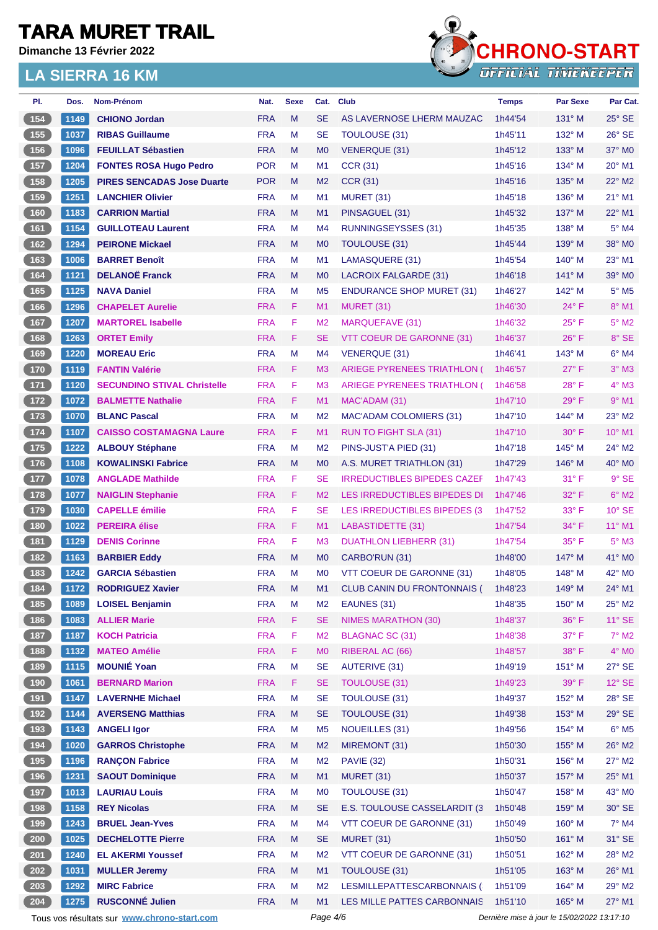**Dimanche 13 Février 2022**



| PI.                                               | Dos. | Nom-Prénom                                  | Nat.       | <b>Sexe</b> | Cat.           | <b>Club</b>                        | <b>Temps</b> | <b>Par Sexe</b>                             | Par Cat.        |
|---------------------------------------------------|------|---------------------------------------------|------------|-------------|----------------|------------------------------------|--------------|---------------------------------------------|-----------------|
| 154                                               | 1149 | <b>CHIONO Jordan</b>                        | <b>FRA</b> | M           | <b>SE</b>      | AS LAVERNOSE LHERM MAUZAC          | 1h44'54      | $131^\circ$ M                               | $25^\circ$ SE   |
| $155$                                             | 1037 | <b>RIBAS Guillaume</b>                      | <b>FRA</b> | м           | <b>SE</b>      | TOULOUSE (31)                      | 1h45'11      | $132^\circ$ M                               | $26^\circ$ SE   |
| 156                                               | 1096 | <b>FEUILLAT Sébastien</b>                   | <b>FRA</b> | M           | M <sub>0</sub> | <b>VENERQUE (31)</b>               | 1h45'12      | $133^\circ$ M                               | 37° M0          |
| $\begin{array}{c} \n \textbf{157}\n \end{array}$  | 1204 | <b>FONTES ROSA Hugo Pedro</b>               | <b>POR</b> | М           | M1             | <b>CCR (31)</b>                    | 1h45'16      | $134^\circ$ M                               | 20° M1          |
| 158                                               | 1205 | <b>PIRES SENCADAS Jose Duarte</b>           | <b>POR</b> | M           | M <sub>2</sub> | <b>CCR (31)</b>                    | 1h45'16      | $135^\circ$ M                               | 22° M2          |
| 159                                               | 1251 | <b>LANCHIER Olivier</b>                     | <b>FRA</b> | M           | M <sub>1</sub> | MURET (31)                         | 1h45'18      | $136^\circ$ M                               | 21° M1          |
| (160)                                             | 1183 | <b>CARRION Martial</b>                      | <b>FRA</b> | M           | M <sub>1</sub> | PINSAGUEL (31)                     | 1h45'32      | $137^\circ$ M                               | 22° M1          |
| 161                                               | 1154 | <b>GUILLOTEAU Laurent</b>                   | <b>FRA</b> | М           | M <sub>4</sub> | <b>RUNNINGSEYSSES (31)</b>         | 1h45'35      | $138^\circ$ M                               | $5^\circ$ M4    |
| 162                                               | 1294 | <b>PEIRONE Mickael</b>                      | <b>FRA</b> | M           | M <sub>0</sub> | TOULOUSE (31)                      | 1h45'44      | $139^\circ$ M                               | 38° MO          |
| 163                                               | 1006 | <b>BARRET Benoît</b>                        | <b>FRA</b> | M           | M <sub>1</sub> | LAMASQUERE (31)                    | 1h45'54      | $140^\circ$ M                               | 23° M1          |
| 164                                               | 1121 | <b>DELANOË Franck</b>                       | <b>FRA</b> | M           | M <sub>0</sub> | LACROIX FALGARDE (31)              | 1h46'18      | $141^\circ$ M                               | $39^\circ$ MO   |
| 165                                               | 1125 | <b>NAVA Daniel</b>                          | <b>FRA</b> | M           | M <sub>5</sub> | <b>ENDURANCE SHOP MURET (31)</b>   | 1h46'27      | 142° M                                      | $5^\circ$ M5    |
| 166                                               | 1296 | <b>CHAPELET Aurelie</b>                     | <b>FRA</b> | F           | M <sub>1</sub> | MURET (31)                         | 1h46'30      | $24^{\circ}$ F                              | 8° M1           |
| 167                                               | 1207 | <b>MARTOREL Isabelle</b>                    | <b>FRA</b> | F           | M <sub>2</sub> | MARQUEFAVE (31)                    | 1h46'32      | $25^{\circ}$ F                              | $5^\circ$ M2    |
| 168                                               | 1263 | <b>ORTET Emily</b>                          | <b>FRA</b> | F           | <b>SE</b>      | VTT COEUR DE GARONNE (31)          | 1h46'37      | $26^{\circ}$ F                              | 8° SE           |
| 169                                               | 1220 | <b>MOREAU Eric</b>                          | <b>FRA</b> | M           | M <sub>4</sub> | <b>VENERQUE (31)</b>               | 1h46'41      | 143° M                                      | $6°$ M4         |
| 170                                               | 1119 | <b>FANTIN Valérie</b>                       | <b>FRA</b> | F           | M <sub>3</sub> | ARIEGE PYRENEES TRIATHLON (        | 1h46'57      | $27^\circ$ F                                | $3°$ M3         |
| $\overline{171}$                                  | 1120 | <b>SECUNDINO STIVAL Christelle</b>          | <b>FRA</b> | F           | M <sub>3</sub> | <b>ARIEGE PYRENEES TRIATHLON (</b> | 1h46'58      | $28^{\circ}$ F                              | $4^\circ$ M3    |
|                                                   |      |                                             |            |             |                |                                    |              |                                             |                 |
| (172)                                             | 1072 | <b>BALMETTE Nathalie</b>                    | <b>FRA</b> | F           | M <sub>1</sub> | MAC'ADAM (31)                      | 1h47'10      | $29^\circ$ F                                | $9°$ M1         |
| $173$                                             | 1070 | <b>BLANC Pascal</b>                         | <b>FRA</b> | M           | M <sub>2</sub> | MAC'ADAM COLOMIERS (31)            | 1h47'10      | 144° M                                      | $23^\circ$ M2   |
| $174$                                             | 1107 | <b>CAISSO COSTAMAGNA Laure</b>              | <b>FRA</b> | F.          | M <sub>1</sub> | RUN TO FIGHT SLA (31)              | 1h47'10      | $30^\circ$ F                                | 10° M1          |
| $\boxed{175}$                                     | 1222 | <b>ALBOUY Stéphane</b>                      | <b>FRA</b> | M           | M <sub>2</sub> | PINS-JUST'A PIED (31)              | 1h47'18      | $145^\circ$ M                               | 24° M2          |
| (176)                                             | 1108 | <b>KOWALINSKI Fabrice</b>                   | <b>FRA</b> | M           | M <sub>0</sub> | A.S. MURET TRIATHLON (31)          | 1h47'29      | $146^\circ$ M                               | $40^\circ$ MO   |
| $\sqrt{177}$                                      | 1078 | <b>ANGLADE Mathilde</b>                     | <b>FRA</b> | F           | <b>SE</b>      | <b>IRREDUCTIBLES BIPEDES CAZEF</b> | 1h47'43      | 31° F                                       | $9°$ SE         |
| (178)                                             | 1077 | <b>NAIGLIN Stephanie</b>                    | <b>FRA</b> | F.          | M <sub>2</sub> | LES IRREDUCTIBLES BIPEDES DI       | 1h47'46      | 32° F                                       | $6^\circ$ M2    |
| 179                                               | 1030 | <b>CAPELLE</b> émilie                       | <b>FRA</b> | F           | <b>SE</b>      | LES IRREDUCTIBLES BIPEDES (3)      | 1h47'52      | $33^\circ$ F                                | $10^{\circ}$ SE |
| 180                                               | 1022 | <b>PEREIRA</b> élise                        | <b>FRA</b> | F           | M1             | LABASTIDETTE (31)                  | 1h47'54      | 34° F                                       | 11° M1          |
| 181                                               | 1129 | <b>DENIS Corinne</b>                        | <b>FRA</b> | F           | M <sub>3</sub> | <b>DUATHLON LIEBHERR (31)</b>      | 1h47'54      | $35^{\circ}$ F                              | $5^\circ$ M3    |
| (182)                                             | 1163 | <b>BARBIER Eddy</b>                         | <b>FRA</b> | M           | M <sub>0</sub> | CARBO'RUN (31)                     | 1h48'00      | $147^\circ$ M                               | $41^\circ$ MO   |
| (183)                                             | 1242 | <b>GARCIA Sébastien</b>                     | <b>FRA</b> | М           | M <sub>0</sub> | VTT COEUR DE GARONNE (31)          | 1h48'05      | $148^\circ$ M                               | 42° MO          |
| 184                                               | 1172 | <b>RODRIGUEZ Xavier</b>                     | <b>FRA</b> | М           | M <sub>1</sub> | <b>CLUB CANIN DU FRONTONNAIS (</b> | 1h48'23      | $149^\circ$ M                               | 24° M1          |
| 185                                               | 1089 | <b>LOISEL Benjamin</b>                      | <b>FRA</b> | M           | M <sub>2</sub> | EAUNES (31)                        | 1h48'35      | 150° M                                      | 25° M2          |
| (186)                                             | 1083 | <b>ALLIER Marie</b>                         | <b>FRA</b> | F           | <b>SE</b>      | <b>NIMES MARATHON (30)</b>         | 1h48'37      | 36°F                                        | $11^{\circ}$ SE |
| $\begin{array}{c} \n \textbf{187} \\ \end{array}$ | 1187 | <b>KOCH Patricia</b>                        | <b>FRA</b> | F           | M <sub>2</sub> | <b>BLAGNAC SC (31)</b>             | 1h48'38      | 37°F                                        | $7^\circ$ M2    |
| 188                                               | 1132 | <b>MATEO Amélie</b>                         | <b>FRA</b> | F           | M <sub>0</sub> | RIBERAL AC (66)                    | 1h48'57      | 38°F                                        | $4^\circ$ MO    |
| $189$                                             | 1115 | <b>MOUNIÉ Yoan</b>                          | <b>FRA</b> | M           | <b>SE</b>      | <b>AUTERIVE (31)</b>               | 1h49'19      | 151° M                                      | 27° SE          |
| (190)                                             | 1061 | <b>BERNARD Marion</b>                       | <b>FRA</b> | F.          | <b>SE</b>      | <b>TOULOUSE (31)</b>               | 1h49'23      | 39° F                                       | $12^{\circ}$ SE |
| (191)                                             | 1147 | <b>LAVERNHE Michael</b>                     | <b>FRA</b> | M           | <b>SE</b>      | TOULOUSE (31)                      | 1h49'37      | 152° M                                      | 28° SE          |
| $192$                                             | 1144 | <b>AVERSENG Matthias</b>                    | <b>FRA</b> | M           | <b>SE</b>      | <b>TOULOUSE (31)</b>               | 1h49'38      | 153° M                                      | $29^\circ$ SE   |
| $193$                                             | 1143 | <b>ANGELI Igor</b>                          | <b>FRA</b> | M           | M <sub>5</sub> | <b>NOUEILLES (31)</b>              | 1h49'56      | 154° M                                      | $6^{\circ}$ M5  |
| (194)                                             | 1020 | <b>GARROS Christophe</b>                    | <b>FRA</b> | M           | M <sub>2</sub> | MIREMONT (31)                      | 1h50'30      | 155° M                                      | 26° M2          |
| 195                                               | 1196 | <b>RANÇON Fabrice</b>                       | <b>FRA</b> | M           | M <sub>2</sub> | <b>PAVIE (32)</b>                  | 1h50'31      | 156° M                                      | $27^\circ$ M2   |
| (196)                                             | 1231 | <b>SAOUT Dominique</b>                      | <b>FRA</b> | M           | M <sub>1</sub> | MURET (31)                         | 1h50'37      | 157° M                                      | 25° M1          |
| (197)                                             | 1013 | <b>LAURIAU Louis</b>                        | <b>FRA</b> | M           | M <sub>0</sub> | TOULOUSE (31)                      | 1h50'47      | 158° M                                      | 43° MO          |
| (198)                                             | 1158 | <b>REY Nicolas</b>                          | <b>FRA</b> | M           | <b>SE</b>      | E.S. TOULOUSE CASSELARDIT (3       | 1h50'48      | 159° M                                      | $30^\circ$ SE   |
| 199                                               | 1243 | <b>BRUEL Jean-Yves</b>                      | <b>FRA</b> | M           | M <sub>4</sub> | VTT COEUR DE GARONNE (31)          | 1h50'49      | $160^\circ$ M                               | $7°$ M4         |
| 200                                               | 1025 | <b>DECHELOTTE Pierre</b>                    | <b>FRA</b> | M           | <b>SE</b>      | MURET (31)                         | 1h50'50      | 161° M                                      | 31° SE          |
| 201                                               | 1240 | <b>EL AKERMI Youssef</b>                    | <b>FRA</b> | М           | M <sub>2</sub> | VTT COEUR DE GARONNE (31)          | 1h50'51      | 162° M                                      | 28° M2          |
| 202                                               | 1031 | <b>MULLER Jeremy</b>                        | <b>FRA</b> | M           | M1             | <b>TOULOUSE (31)</b>               | 1h51'05      | 163° M                                      | 26° M1          |
| 203                                               | 1292 | <b>MIRC Fabrice</b>                         | <b>FRA</b> | M           | M <sub>2</sub> | LESMILLEPATTESCARBONNAIS (         | 1h51'09      | 164° M                                      | 29° M2          |
| 204                                               | 1275 | <b>RUSCONNÉ Julien</b>                      | <b>FRA</b> | M           | M1             | LES MILLE PATTES CARBONNAIS        | 1h51'10      | 165° M                                      | 27° M1          |
|                                                   |      | Tous vos résultats sur www.chrono-start.com |            |             | Page 4/6       |                                    |              | Dernière mise à jour le 15/02/2022 13:17:10 |                 |
|                                                   |      |                                             |            |             |                |                                    |              |                                             |                 |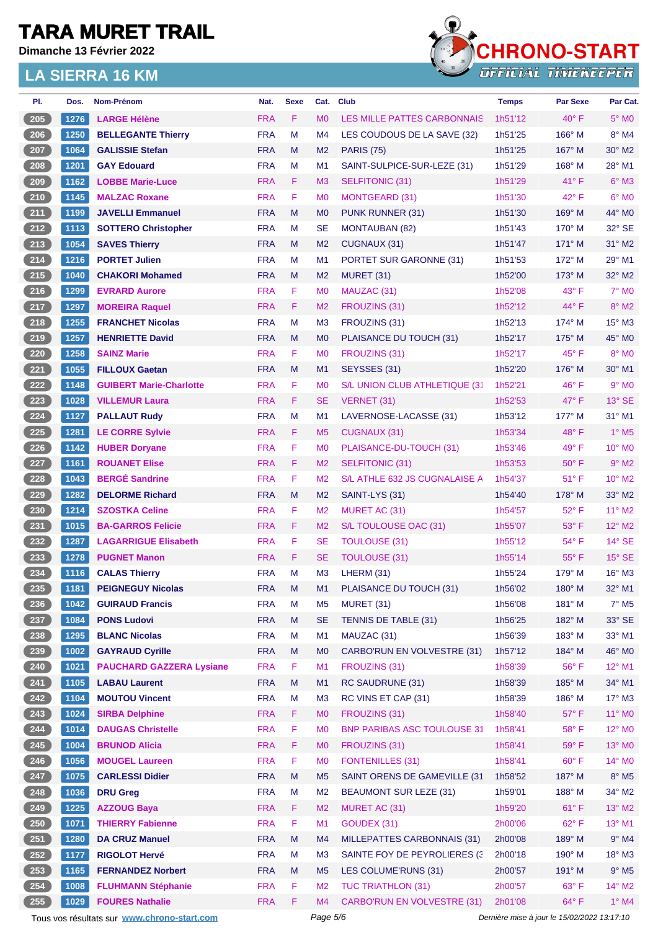**Dimanche 13 Février 2022**



| 1276<br><b>FRA</b><br>F<br>$40^{\circ}$ F<br>$5^\circ$ MO<br>205<br><b>LARGE Hélène</b><br>M <sub>0</sub><br><b>LES MILLE PATTES CARBONNAIS</b><br>1h51'12<br>206<br>1250<br><b>FRA</b><br>M<br>166° M<br>8° M4<br><b>BELLEGANTE Thierry</b><br>M <sub>4</sub><br>LES COUDOUS DE LA SAVE (32)<br>1h51'25<br>207<br>1064<br><b>GALISSIE Stefan</b><br><b>FRA</b><br>M<br>1h51'25<br>167° M<br>$30^\circ$ M2<br>M <sub>2</sub><br><b>PARIS (75)</b><br><b>FRA</b><br>M<br>28° M1<br>208<br>1201<br>M <sub>1</sub><br>SAINT-SULPICE-SUR-LEZE (31)<br>1h51'29<br>$168^\circ$ M<br><b>GAY Edouard</b><br>209<br><b>FRA</b><br>F<br>$6°$ M3<br>1162<br><b>LOBBE Marie-Luce</b><br>M <sub>3</sub><br>$41^{\circ}$ F<br>SELFITONIC (31)<br>1h51'29<br>F<br>210<br>1145<br><b>FRA</b><br>42° F<br>$6^\circ$ MO<br><b>MALZAC Roxane</b><br>M <sub>0</sub><br><b>MONTGEARD (31)</b><br>1h51'30<br>211<br>44° MO<br>1199<br><b>JAVELLI Emmanuel</b><br><b>FRA</b><br>M<br>M <sub>0</sub><br>1h51'30<br>169° M<br>PUNK RUNNER (31)<br>$212$<br><b>FRA</b><br><b>SE</b><br>32° SE<br>1113<br><b>SOTTERO Christopher</b><br>М<br><b>MONTAUBAN (82)</b><br>1h51'43<br>170° M<br>213<br><b>FRA</b><br>1054<br>M<br>M <sub>2</sub><br>1h51'47<br>$171^\circ$ M<br>$31^\circ$ M2<br><b>SAVES Thierry</b><br>CUGNAUX (31)<br>214<br>29° M1<br>1216<br><b>PORTET Julien</b><br><b>FRA</b><br>M<br>M <sub>1</sub><br>1h51'53<br>172° M<br>PORTET SUR GARONNE (31)<br>215<br><b>FRA</b><br>32° M2<br>1040<br><b>CHAKORI Mohamed</b><br>M<br>M <sub>2</sub><br>1h52'00<br>$173^\circ$ M<br>MURET (31)<br>F<br>$216$<br><b>FRA</b><br>$43^{\circ}$ F<br>$7^\circ$ M <sub>0</sub><br>1299<br><b>EVRARD Aurore</b><br>M <sub>0</sub><br>MAUZAC (31)<br>1h52'08<br>217<br>1297<br><b>FRA</b><br>F<br>44° F<br>$8^\circ$ M2<br><b>MOREIRA Raquel</b><br>M <sub>2</sub><br>FROUZINS (31)<br>1h52'12<br>218<br>1255<br><b>FRA</b><br>М<br>$15^\circ$ M3<br><b>FRANCHET Nicolas</b><br>M <sub>3</sub><br>FROUZINS (31)<br>1h52'13<br>$174^\circ$ M<br>219<br><b>FRA</b><br>45° MO<br>1257<br>M<br>M <sub>0</sub><br>PLAISANCE DU TOUCH (31)<br>1h52'17<br>$175^\circ$ M<br><b>HENRIETTE David</b><br>220<br>1258<br><b>FRA</b><br>F<br>8° MO<br><b>SAINZ Marie</b><br>M <sub>0</sub><br>FROUZINS (31)<br>1h52'17<br>$45^{\circ}$ F<br>221<br>1055<br><b>FRA</b><br><b>FILLOUX Gaetan</b><br>M<br>M <sub>1</sub><br>SEYSSES (31)<br>1h52'20<br>$176^\circ$ M<br>30° M1<br>F<br>222<br>1148<br><b>FRA</b><br>46°F<br>$9°$ MO<br><b>GUIBERT Marie-Charlotte</b><br>M <sub>0</sub><br>S/L UNION CLUB ATHLETIQUE (31<br>1h52'21<br>$223$<br><b>FRA</b><br>F<br>1028<br><b>VILLEMUR Laura</b><br><b>SE</b><br>1h52'53<br>$47^\circ$ F<br>$13^\circ$ SE<br>VERNET (31)<br>224<br><b>FRA</b><br>M<br>31° M1<br>1127<br>M <sub>1</sub><br>LAVERNOSE-LACASSE (31)<br>1h53'12<br>177° M<br><b>PALLAUT Rudy</b><br>225<br>1281<br>F<br>$1^\circ$ M <sub>5</sub><br><b>LE CORRE Sylvie</b><br><b>FRA</b><br>M <sub>5</sub><br><b>CUGNAUX (31)</b><br>1h53'34<br>$48^{\circ}$ F<br>F<br>226<br>1142<br><b>FRA</b><br>49° F<br>10° MO<br>M <sub>0</sub><br>1h53'46<br><b>HUBER Doryane</b><br>PLAISANCE-DU-TOUCH (31)<br>227<br>F<br>1161<br><b>ROUANET Elise</b><br><b>FRA</b><br>M <sub>2</sub><br><b>SELFITONIC (31)</b><br>1h53'53<br>$50^\circ$ F<br>$9°$ M <sub>2</sub><br>228<br><b>BERGÉ Sandrine</b><br>F<br>1043<br><b>FRA</b><br>M <sub>2</sub><br>10° M2<br>S/L ATHLE 632 JS CUGNALAISE A<br>$51^{\circ}$ F<br>1h54'37<br>229<br>1282<br><b>FRA</b><br>M<br>33° M2<br><b>DELORME Richard</b><br>M <sub>2</sub><br>SAINT-LYS (31)<br>1h54'40<br>$178^\circ$ M<br>230<br><b>FRA</b><br>F<br>52° F<br>11° M2<br>1214<br><b>SZOSTKA Celine</b><br>M <sub>2</sub><br>MURET AC (31)<br>1h54'57<br>$\frac{231}{2}$<br>1015<br>F<br>12° M2<br><b>BA-GARROS Felicie</b><br><b>FRA</b><br>M <sub>2</sub><br>S/L TOULOUSE OAC (31)<br>$53^\circ$ F<br>1h55'07<br>232<br>1287<br>F<br>$14^\circ$ SE<br><b>LAGARRIGUE Elisabeth</b><br><b>FRA</b><br><b>SE</b><br><b>TOULOUSE (31)</b><br>1h55'12<br>$54^{\circ}$ F<br>233<br>F<br>$15^\circ$ SE<br>1278<br><b>PUGNET Manon</b><br><b>FRA</b><br>SE<br><b>TOULOUSE (31)</b><br>1h55'14<br>$55^{\circ}$ F<br><b>FRA</b><br>234<br>1116<br>M<br>M <sub>3</sub><br>LHERM (31)<br>1h55'24<br>179° M<br>$16^\circ$ M3<br><b>CALAS Thierry</b><br>235<br><b>FRA</b><br>1181<br>M<br>M1<br>$180^\circ$ M<br>32° M1<br><b>PEIGNEGUY Nicolas</b><br>PLAISANCE DU TOUCH (31)<br>1h56'02<br>236<br>$7°$ M <sub>5</sub><br>1042<br><b>GUIRAUD Francis</b><br><b>FRA</b><br>M<br><b>MURET (31)</b><br>1h56'08<br>181° M<br>M <sub>5</sub><br>237<br><b>PONS Ludovi</b><br><b>FRA</b><br><b>SE</b><br>1084<br>M<br>TENNIS DE TABLE (31)<br>1h56'25<br>182° M<br>$33^\circ$ SE<br>238<br>1295<br><b>BLANC Nicolas</b><br><b>FRA</b><br>33° M1<br>М<br>M <sub>1</sub><br>MAUZAC (31)<br>1h56'39<br>$183^\circ$ M<br>239<br><b>FRA</b><br>46° MO<br>1002<br>M<br>M <sub>0</sub><br><b>CARBO'RUN EN VOLVESTRE (31)</b><br>1h57'12<br>184° M<br><b>GAYRAUD Cyrille</b><br>F<br>12° M1<br>240<br>1021<br><b>FRA</b><br>M1<br>FROUZINS (31)<br>$56^{\circ}$ F<br><b>PAUCHARD GAZZERA Lysiane</b><br>1h58'39<br>241<br>34° M1<br>1105<br><b>LABAU Laurent</b><br><b>FRA</b><br>M<br>M1<br><b>RC SAUDRUNE (31)</b><br>1h58'39<br>185° M<br>$242$<br>1104<br><b>MOUTOU Vincent</b><br><b>FRA</b><br>M<br>M <sub>3</sub><br>RC VINS ET CAP (31)<br>1h58'39<br>186° M<br>$17^\circ$ M3<br>243<br>1024<br>F<br>11° MO<br><b>SIRBA Delphine</b><br><b>FRA</b><br>M <sub>0</sub><br>FROUZINS (31)<br>1h58'40<br>$57^\circ$ F<br>244<br>F<br>12° MO<br>1014<br><b>FRA</b><br><b>BNP PARIBAS ASC TOULOUSE 31</b><br>58°F<br><b>DAUGAS Christelle</b><br>M <sub>0</sub><br>1h58'41<br>$245$<br><b>BRUNOD Alicia</b><br><b>FRA</b><br>F<br><b>MO</b><br>FROUZINS (31)<br>1h58'41<br>59°F<br>13° MO<br>1004<br>246<br>F<br>1056<br><b>FRA</b><br>60°F<br>14° MO<br><b>MOUGEL Laureen</b><br>M <sub>0</sub><br><b>FONTENILLES (31)</b><br>1h58'41<br>247<br>1075<br>$8^\circ$ M5<br><b>CARLESSI Didier</b><br><b>FRA</b><br>M<br>M <sub>5</sub><br>SAINT ORENS DE GAMEVILLE (31<br>187° M<br>1h58'52<br>248<br><b>FRA</b><br>188° M<br>34° M2<br>1036<br><b>DRU Greg</b><br>M<br>M <sub>2</sub><br><b>BEAUMONT SUR LEZE (31)</b><br>1h59'01<br>249<br>1225<br>F<br>13° M2<br><b>AZZOUG Baya</b><br><b>FRA</b><br>M <sub>2</sub><br>MURET AC (31)<br>1h59'20<br>$61^{\circ}$ F<br>250<br>F<br>$62^{\circ}$ F<br>13° M1<br>1071<br><b>FRA</b><br>M1<br>GOUDEX (31)<br>2h00'06<br><b>THIERRY Fabienne</b><br>251<br>$9°$ M4<br>1280<br><b>FRA</b><br>M<br>MILLEPATTES CARBONNAIS (31)<br>189° M<br><b>DA CRUZ Manuel</b><br>M4<br>2h00'08<br>252<br><b>RIGOLOT Hervé</b><br>18° M3<br>1177<br><b>FRA</b><br>M<br>M <sub>3</sub><br>SAINTE FOY DE PEYROLIERES (3<br>190° M<br>2h00'18<br>253<br>1165<br>$9°$ M <sub>5</sub><br><b>FERNANDEZ Norbert</b><br><b>FRA</b><br>M<br>M <sub>5</sub><br>191° M<br>LES COLUME'RUNS (31)<br>2h00'57<br>254<br>F<br>14° M2<br>1008<br><b>FLUHMANN Stéphanie</b><br><b>FRA</b><br>M <sub>2</sub><br><b>TUC TRIATHLON (31)</b><br>2h00'57<br>$63^\circ$ F<br>255<br>F<br>64° F<br>$1^\circ$ M4<br>1029<br><b>FOURES Nathalie</b><br><b>FRA</b><br>M <sub>4</sub><br><b>CARBO'RUN EN VOLVESTRE (31)</b><br>2h01'08<br>Page 5/6<br>Tous vos résultats sur www.chrono-start.com<br>Dernière mise à jour le 15/02/2022 13:17:10 | PI. | Dos. | Nom-Prénom | Nat. | <b>Sexe</b> | Cat. | <b>Club</b> | <b>Temps</b> | <b>Par Sexe</b> | Par Cat. |
|-------------------------------------------------------------------------------------------------------------------------------------------------------------------------------------------------------------------------------------------------------------------------------------------------------------------------------------------------------------------------------------------------------------------------------------------------------------------------------------------------------------------------------------------------------------------------------------------------------------------------------------------------------------------------------------------------------------------------------------------------------------------------------------------------------------------------------------------------------------------------------------------------------------------------------------------------------------------------------------------------------------------------------------------------------------------------------------------------------------------------------------------------------------------------------------------------------------------------------------------------------------------------------------------------------------------------------------------------------------------------------------------------------------------------------------------------------------------------------------------------------------------------------------------------------------------------------------------------------------------------------------------------------------------------------------------------------------------------------------------------------------------------------------------------------------------------------------------------------------------------------------------------------------------------------------------------------------------------------------------------------------------------------------------------------------------------------------------------------------------------------------------------------------------------------------------------------------------------------------------------------------------------------------------------------------------------------------------------------------------------------------------------------------------------------------------------------------------------------------------------------------------------------------------------------------------------------------------------------------------------------------------------------------------------------------------------------------------------------------------------------------------------------------------------------------------------------------------------------------------------------------------------------------------------------------------------------------------------------------------------------------------------------------------------------------------------------------------------------------------------------------------------------------------------------------------------------------------------------------------------------------------------------------------------------------------------------------------------------------------------------------------------------------------------------------------------------------------------------------------------------------------------------------------------------------------------------------------------------------------------------------------------------------------------------------------------------------------------------------------------------------------------------------------------------------------------------------------------------------------------------------------------------------------------------------------------------------------------------------------------------------------------------------------------------------------------------------------------------------------------------------------------------------------------------------------------------------------------------------------------------------------------------------------------------------------------------------------------------------------------------------------------------------------------------------------------------------------------------------------------------------------------------------------------------------------------------------------------------------------------------------------------------------------------------------------------------------------------------------------------------------------------------------------------------------------------------------------------------------------------------------------------------------------------------------------------------------------------------------------------------------------------------------------------------------------------------------------------------------------------------------------------------------------------------------------------------------------------------------------------------------------------------------------------------------------------------------------------------------------------------------------------------------------------------------------------------------------------------------------------------------------------------------------------------------------------------------------------------------------------------------------------------------------------------------------------------------------------------------------------------------------------------------------------------------------------------------------------------------------------------------------------------------------------------------------------------------------------------------------------------------------------------------------------------------------------------------------------------------------------------------------------------------------------------------------------------------------------------------------------------------------------------------------------------------------------------------------------------------------------------------------------------------------------------------------------------------------------------------------------------------------------------------------------------------------------------------------------------------------------------------------------------------------------------------------------------------------------------------------------------------------------------------------------------------------------------------------------------------------------------------------------------------------------------------------------------------------------------------------------------------------------------------------------------------------------------------------------------------------------------------------------------------------------------------------------------------------------------------------------------------------------------------------------------------------------------------------------------------------------------------------------------------------------|-----|------|------------|------|-------------|------|-------------|--------------|-----------------|----------|
|                                                                                                                                                                                                                                                                                                                                                                                                                                                                                                                                                                                                                                                                                                                                                                                                                                                                                                                                                                                                                                                                                                                                                                                                                                                                                                                                                                                                                                                                                                                                                                                                                                                                                                                                                                                                                                                                                                                                                                                                                                                                                                                                                                                                                                                                                                                                                                                                                                                                                                                                                                                                                                                                                                                                                                                                                                                                                                                                                                                                                                                                                                                                                                                                                                                                                                                                                                                                                                                                                                                                                                                                                                                                                                                                                                                                                                                                                                                                                                                                                                                                                                                                                                                                                                                                                                                                                                                                                                                                                                                                                                                                                                                                                                                                                                                                                                                                                                                                                                                                                                                                                                                                                                                                                                                                                                                                                                                                                                                                                                                                                                                                                                                                                                                                                                                                                                                                                                                                                                                                                                                                                                                                                                                                                                                                                                                                                                                                                                                                                                                                                                                                                                                                                                                                                                                                                                                                                                                                                                                                                                                                                                                                                                                                                                                                                                                                                                                                                         |     |      |            |      |             |      |             |              |                 |          |
|                                                                                                                                                                                                                                                                                                                                                                                                                                                                                                                                                                                                                                                                                                                                                                                                                                                                                                                                                                                                                                                                                                                                                                                                                                                                                                                                                                                                                                                                                                                                                                                                                                                                                                                                                                                                                                                                                                                                                                                                                                                                                                                                                                                                                                                                                                                                                                                                                                                                                                                                                                                                                                                                                                                                                                                                                                                                                                                                                                                                                                                                                                                                                                                                                                                                                                                                                                                                                                                                                                                                                                                                                                                                                                                                                                                                                                                                                                                                                                                                                                                                                                                                                                                                                                                                                                                                                                                                                                                                                                                                                                                                                                                                                                                                                                                                                                                                                                                                                                                                                                                                                                                                                                                                                                                                                                                                                                                                                                                                                                                                                                                                                                                                                                                                                                                                                                                                                                                                                                                                                                                                                                                                                                                                                                                                                                                                                                                                                                                                                                                                                                                                                                                                                                                                                                                                                                                                                                                                                                                                                                                                                                                                                                                                                                                                                                                                                                                                                         |     |      |            |      |             |      |             |              |                 |          |
|                                                                                                                                                                                                                                                                                                                                                                                                                                                                                                                                                                                                                                                                                                                                                                                                                                                                                                                                                                                                                                                                                                                                                                                                                                                                                                                                                                                                                                                                                                                                                                                                                                                                                                                                                                                                                                                                                                                                                                                                                                                                                                                                                                                                                                                                                                                                                                                                                                                                                                                                                                                                                                                                                                                                                                                                                                                                                                                                                                                                                                                                                                                                                                                                                                                                                                                                                                                                                                                                                                                                                                                                                                                                                                                                                                                                                                                                                                                                                                                                                                                                                                                                                                                                                                                                                                                                                                                                                                                                                                                                                                                                                                                                                                                                                                                                                                                                                                                                                                                                                                                                                                                                                                                                                                                                                                                                                                                                                                                                                                                                                                                                                                                                                                                                                                                                                                                                                                                                                                                                                                                                                                                                                                                                                                                                                                                                                                                                                                                                                                                                                                                                                                                                                                                                                                                                                                                                                                                                                                                                                                                                                                                                                                                                                                                                                                                                                                                                                         |     |      |            |      |             |      |             |              |                 |          |
|                                                                                                                                                                                                                                                                                                                                                                                                                                                                                                                                                                                                                                                                                                                                                                                                                                                                                                                                                                                                                                                                                                                                                                                                                                                                                                                                                                                                                                                                                                                                                                                                                                                                                                                                                                                                                                                                                                                                                                                                                                                                                                                                                                                                                                                                                                                                                                                                                                                                                                                                                                                                                                                                                                                                                                                                                                                                                                                                                                                                                                                                                                                                                                                                                                                                                                                                                                                                                                                                                                                                                                                                                                                                                                                                                                                                                                                                                                                                                                                                                                                                                                                                                                                                                                                                                                                                                                                                                                                                                                                                                                                                                                                                                                                                                                                                                                                                                                                                                                                                                                                                                                                                                                                                                                                                                                                                                                                                                                                                                                                                                                                                                                                                                                                                                                                                                                                                                                                                                                                                                                                                                                                                                                                                                                                                                                                                                                                                                                                                                                                                                                                                                                                                                                                                                                                                                                                                                                                                                                                                                                                                                                                                                                                                                                                                                                                                                                                                                         |     |      |            |      |             |      |             |              |                 |          |
|                                                                                                                                                                                                                                                                                                                                                                                                                                                                                                                                                                                                                                                                                                                                                                                                                                                                                                                                                                                                                                                                                                                                                                                                                                                                                                                                                                                                                                                                                                                                                                                                                                                                                                                                                                                                                                                                                                                                                                                                                                                                                                                                                                                                                                                                                                                                                                                                                                                                                                                                                                                                                                                                                                                                                                                                                                                                                                                                                                                                                                                                                                                                                                                                                                                                                                                                                                                                                                                                                                                                                                                                                                                                                                                                                                                                                                                                                                                                                                                                                                                                                                                                                                                                                                                                                                                                                                                                                                                                                                                                                                                                                                                                                                                                                                                                                                                                                                                                                                                                                                                                                                                                                                                                                                                                                                                                                                                                                                                                                                                                                                                                                                                                                                                                                                                                                                                                                                                                                                                                                                                                                                                                                                                                                                                                                                                                                                                                                                                                                                                                                                                                                                                                                                                                                                                                                                                                                                                                                                                                                                                                                                                                                                                                                                                                                                                                                                                                                         |     |      |            |      |             |      |             |              |                 |          |
|                                                                                                                                                                                                                                                                                                                                                                                                                                                                                                                                                                                                                                                                                                                                                                                                                                                                                                                                                                                                                                                                                                                                                                                                                                                                                                                                                                                                                                                                                                                                                                                                                                                                                                                                                                                                                                                                                                                                                                                                                                                                                                                                                                                                                                                                                                                                                                                                                                                                                                                                                                                                                                                                                                                                                                                                                                                                                                                                                                                                                                                                                                                                                                                                                                                                                                                                                                                                                                                                                                                                                                                                                                                                                                                                                                                                                                                                                                                                                                                                                                                                                                                                                                                                                                                                                                                                                                                                                                                                                                                                                                                                                                                                                                                                                                                                                                                                                                                                                                                                                                                                                                                                                                                                                                                                                                                                                                                                                                                                                                                                                                                                                                                                                                                                                                                                                                                                                                                                                                                                                                                                                                                                                                                                                                                                                                                                                                                                                                                                                                                                                                                                                                                                                                                                                                                                                                                                                                                                                                                                                                                                                                                                                                                                                                                                                                                                                                                                                         |     |      |            |      |             |      |             |              |                 |          |
|                                                                                                                                                                                                                                                                                                                                                                                                                                                                                                                                                                                                                                                                                                                                                                                                                                                                                                                                                                                                                                                                                                                                                                                                                                                                                                                                                                                                                                                                                                                                                                                                                                                                                                                                                                                                                                                                                                                                                                                                                                                                                                                                                                                                                                                                                                                                                                                                                                                                                                                                                                                                                                                                                                                                                                                                                                                                                                                                                                                                                                                                                                                                                                                                                                                                                                                                                                                                                                                                                                                                                                                                                                                                                                                                                                                                                                                                                                                                                                                                                                                                                                                                                                                                                                                                                                                                                                                                                                                                                                                                                                                                                                                                                                                                                                                                                                                                                                                                                                                                                                                                                                                                                                                                                                                                                                                                                                                                                                                                                                                                                                                                                                                                                                                                                                                                                                                                                                                                                                                                                                                                                                                                                                                                                                                                                                                                                                                                                                                                                                                                                                                                                                                                                                                                                                                                                                                                                                                                                                                                                                                                                                                                                                                                                                                                                                                                                                                                                         |     |      |            |      |             |      |             |              |                 |          |
|                                                                                                                                                                                                                                                                                                                                                                                                                                                                                                                                                                                                                                                                                                                                                                                                                                                                                                                                                                                                                                                                                                                                                                                                                                                                                                                                                                                                                                                                                                                                                                                                                                                                                                                                                                                                                                                                                                                                                                                                                                                                                                                                                                                                                                                                                                                                                                                                                                                                                                                                                                                                                                                                                                                                                                                                                                                                                                                                                                                                                                                                                                                                                                                                                                                                                                                                                                                                                                                                                                                                                                                                                                                                                                                                                                                                                                                                                                                                                                                                                                                                                                                                                                                                                                                                                                                                                                                                                                                                                                                                                                                                                                                                                                                                                                                                                                                                                                                                                                                                                                                                                                                                                                                                                                                                                                                                                                                                                                                                                                                                                                                                                                                                                                                                                                                                                                                                                                                                                                                                                                                                                                                                                                                                                                                                                                                                                                                                                                                                                                                                                                                                                                                                                                                                                                                                                                                                                                                                                                                                                                                                                                                                                                                                                                                                                                                                                                                                                         |     |      |            |      |             |      |             |              |                 |          |
|                                                                                                                                                                                                                                                                                                                                                                                                                                                                                                                                                                                                                                                                                                                                                                                                                                                                                                                                                                                                                                                                                                                                                                                                                                                                                                                                                                                                                                                                                                                                                                                                                                                                                                                                                                                                                                                                                                                                                                                                                                                                                                                                                                                                                                                                                                                                                                                                                                                                                                                                                                                                                                                                                                                                                                                                                                                                                                                                                                                                                                                                                                                                                                                                                                                                                                                                                                                                                                                                                                                                                                                                                                                                                                                                                                                                                                                                                                                                                                                                                                                                                                                                                                                                                                                                                                                                                                                                                                                                                                                                                                                                                                                                                                                                                                                                                                                                                                                                                                                                                                                                                                                                                                                                                                                                                                                                                                                                                                                                                                                                                                                                                                                                                                                                                                                                                                                                                                                                                                                                                                                                                                                                                                                                                                                                                                                                                                                                                                                                                                                                                                                                                                                                                                                                                                                                                                                                                                                                                                                                                                                                                                                                                                                                                                                                                                                                                                                                                         |     |      |            |      |             |      |             |              |                 |          |
|                                                                                                                                                                                                                                                                                                                                                                                                                                                                                                                                                                                                                                                                                                                                                                                                                                                                                                                                                                                                                                                                                                                                                                                                                                                                                                                                                                                                                                                                                                                                                                                                                                                                                                                                                                                                                                                                                                                                                                                                                                                                                                                                                                                                                                                                                                                                                                                                                                                                                                                                                                                                                                                                                                                                                                                                                                                                                                                                                                                                                                                                                                                                                                                                                                                                                                                                                                                                                                                                                                                                                                                                                                                                                                                                                                                                                                                                                                                                                                                                                                                                                                                                                                                                                                                                                                                                                                                                                                                                                                                                                                                                                                                                                                                                                                                                                                                                                                                                                                                                                                                                                                                                                                                                                                                                                                                                                                                                                                                                                                                                                                                                                                                                                                                                                                                                                                                                                                                                                                                                                                                                                                                                                                                                                                                                                                                                                                                                                                                                                                                                                                                                                                                                                                                                                                                                                                                                                                                                                                                                                                                                                                                                                                                                                                                                                                                                                                                                                         |     |      |            |      |             |      |             |              |                 |          |
|                                                                                                                                                                                                                                                                                                                                                                                                                                                                                                                                                                                                                                                                                                                                                                                                                                                                                                                                                                                                                                                                                                                                                                                                                                                                                                                                                                                                                                                                                                                                                                                                                                                                                                                                                                                                                                                                                                                                                                                                                                                                                                                                                                                                                                                                                                                                                                                                                                                                                                                                                                                                                                                                                                                                                                                                                                                                                                                                                                                                                                                                                                                                                                                                                                                                                                                                                                                                                                                                                                                                                                                                                                                                                                                                                                                                                                                                                                                                                                                                                                                                                                                                                                                                                                                                                                                                                                                                                                                                                                                                                                                                                                                                                                                                                                                                                                                                                                                                                                                                                                                                                                                                                                                                                                                                                                                                                                                                                                                                                                                                                                                                                                                                                                                                                                                                                                                                                                                                                                                                                                                                                                                                                                                                                                                                                                                                                                                                                                                                                                                                                                                                                                                                                                                                                                                                                                                                                                                                                                                                                                                                                                                                                                                                                                                                                                                                                                                                                         |     |      |            |      |             |      |             |              |                 |          |
|                                                                                                                                                                                                                                                                                                                                                                                                                                                                                                                                                                                                                                                                                                                                                                                                                                                                                                                                                                                                                                                                                                                                                                                                                                                                                                                                                                                                                                                                                                                                                                                                                                                                                                                                                                                                                                                                                                                                                                                                                                                                                                                                                                                                                                                                                                                                                                                                                                                                                                                                                                                                                                                                                                                                                                                                                                                                                                                                                                                                                                                                                                                                                                                                                                                                                                                                                                                                                                                                                                                                                                                                                                                                                                                                                                                                                                                                                                                                                                                                                                                                                                                                                                                                                                                                                                                                                                                                                                                                                                                                                                                                                                                                                                                                                                                                                                                                                                                                                                                                                                                                                                                                                                                                                                                                                                                                                                                                                                                                                                                                                                                                                                                                                                                                                                                                                                                                                                                                                                                                                                                                                                                                                                                                                                                                                                                                                                                                                                                                                                                                                                                                                                                                                                                                                                                                                                                                                                                                                                                                                                                                                                                                                                                                                                                                                                                                                                                                                         |     |      |            |      |             |      |             |              |                 |          |
|                                                                                                                                                                                                                                                                                                                                                                                                                                                                                                                                                                                                                                                                                                                                                                                                                                                                                                                                                                                                                                                                                                                                                                                                                                                                                                                                                                                                                                                                                                                                                                                                                                                                                                                                                                                                                                                                                                                                                                                                                                                                                                                                                                                                                                                                                                                                                                                                                                                                                                                                                                                                                                                                                                                                                                                                                                                                                                                                                                                                                                                                                                                                                                                                                                                                                                                                                                                                                                                                                                                                                                                                                                                                                                                                                                                                                                                                                                                                                                                                                                                                                                                                                                                                                                                                                                                                                                                                                                                                                                                                                                                                                                                                                                                                                                                                                                                                                                                                                                                                                                                                                                                                                                                                                                                                                                                                                                                                                                                                                                                                                                                                                                                                                                                                                                                                                                                                                                                                                                                                                                                                                                                                                                                                                                                                                                                                                                                                                                                                                                                                                                                                                                                                                                                                                                                                                                                                                                                                                                                                                                                                                                                                                                                                                                                                                                                                                                                                                         |     |      |            |      |             |      |             |              |                 |          |
|                                                                                                                                                                                                                                                                                                                                                                                                                                                                                                                                                                                                                                                                                                                                                                                                                                                                                                                                                                                                                                                                                                                                                                                                                                                                                                                                                                                                                                                                                                                                                                                                                                                                                                                                                                                                                                                                                                                                                                                                                                                                                                                                                                                                                                                                                                                                                                                                                                                                                                                                                                                                                                                                                                                                                                                                                                                                                                                                                                                                                                                                                                                                                                                                                                                                                                                                                                                                                                                                                                                                                                                                                                                                                                                                                                                                                                                                                                                                                                                                                                                                                                                                                                                                                                                                                                                                                                                                                                                                                                                                                                                                                                                                                                                                                                                                                                                                                                                                                                                                                                                                                                                                                                                                                                                                                                                                                                                                                                                                                                                                                                                                                                                                                                                                                                                                                                                                                                                                                                                                                                                                                                                                                                                                                                                                                                                                                                                                                                                                                                                                                                                                                                                                                                                                                                                                                                                                                                                                                                                                                                                                                                                                                                                                                                                                                                                                                                                                                         |     |      |            |      |             |      |             |              |                 |          |
|                                                                                                                                                                                                                                                                                                                                                                                                                                                                                                                                                                                                                                                                                                                                                                                                                                                                                                                                                                                                                                                                                                                                                                                                                                                                                                                                                                                                                                                                                                                                                                                                                                                                                                                                                                                                                                                                                                                                                                                                                                                                                                                                                                                                                                                                                                                                                                                                                                                                                                                                                                                                                                                                                                                                                                                                                                                                                                                                                                                                                                                                                                                                                                                                                                                                                                                                                                                                                                                                                                                                                                                                                                                                                                                                                                                                                                                                                                                                                                                                                                                                                                                                                                                                                                                                                                                                                                                                                                                                                                                                                                                                                                                                                                                                                                                                                                                                                                                                                                                                                                                                                                                                                                                                                                                                                                                                                                                                                                                                                                                                                                                                                                                                                                                                                                                                                                                                                                                                                                                                                                                                                                                                                                                                                                                                                                                                                                                                                                                                                                                                                                                                                                                                                                                                                                                                                                                                                                                                                                                                                                                                                                                                                                                                                                                                                                                                                                                                                         |     |      |            |      |             |      |             |              |                 |          |
|                                                                                                                                                                                                                                                                                                                                                                                                                                                                                                                                                                                                                                                                                                                                                                                                                                                                                                                                                                                                                                                                                                                                                                                                                                                                                                                                                                                                                                                                                                                                                                                                                                                                                                                                                                                                                                                                                                                                                                                                                                                                                                                                                                                                                                                                                                                                                                                                                                                                                                                                                                                                                                                                                                                                                                                                                                                                                                                                                                                                                                                                                                                                                                                                                                                                                                                                                                                                                                                                                                                                                                                                                                                                                                                                                                                                                                                                                                                                                                                                                                                                                                                                                                                                                                                                                                                                                                                                                                                                                                                                                                                                                                                                                                                                                                                                                                                                                                                                                                                                                                                                                                                                                                                                                                                                                                                                                                                                                                                                                                                                                                                                                                                                                                                                                                                                                                                                                                                                                                                                                                                                                                                                                                                                                                                                                                                                                                                                                                                                                                                                                                                                                                                                                                                                                                                                                                                                                                                                                                                                                                                                                                                                                                                                                                                                                                                                                                                                                         |     |      |            |      |             |      |             |              |                 |          |
|                                                                                                                                                                                                                                                                                                                                                                                                                                                                                                                                                                                                                                                                                                                                                                                                                                                                                                                                                                                                                                                                                                                                                                                                                                                                                                                                                                                                                                                                                                                                                                                                                                                                                                                                                                                                                                                                                                                                                                                                                                                                                                                                                                                                                                                                                                                                                                                                                                                                                                                                                                                                                                                                                                                                                                                                                                                                                                                                                                                                                                                                                                                                                                                                                                                                                                                                                                                                                                                                                                                                                                                                                                                                                                                                                                                                                                                                                                                                                                                                                                                                                                                                                                                                                                                                                                                                                                                                                                                                                                                                                                                                                                                                                                                                                                                                                                                                                                                                                                                                                                                                                                                                                                                                                                                                                                                                                                                                                                                                                                                                                                                                                                                                                                                                                                                                                                                                                                                                                                                                                                                                                                                                                                                                                                                                                                                                                                                                                                                                                                                                                                                                                                                                                                                                                                                                                                                                                                                                                                                                                                                                                                                                                                                                                                                                                                                                                                                                                         |     |      |            |      |             |      |             |              |                 |          |
|                                                                                                                                                                                                                                                                                                                                                                                                                                                                                                                                                                                                                                                                                                                                                                                                                                                                                                                                                                                                                                                                                                                                                                                                                                                                                                                                                                                                                                                                                                                                                                                                                                                                                                                                                                                                                                                                                                                                                                                                                                                                                                                                                                                                                                                                                                                                                                                                                                                                                                                                                                                                                                                                                                                                                                                                                                                                                                                                                                                                                                                                                                                                                                                                                                                                                                                                                                                                                                                                                                                                                                                                                                                                                                                                                                                                                                                                                                                                                                                                                                                                                                                                                                                                                                                                                                                                                                                                                                                                                                                                                                                                                                                                                                                                                                                                                                                                                                                                                                                                                                                                                                                                                                                                                                                                                                                                                                                                                                                                                                                                                                                                                                                                                                                                                                                                                                                                                                                                                                                                                                                                                                                                                                                                                                                                                                                                                                                                                                                                                                                                                                                                                                                                                                                                                                                                                                                                                                                                                                                                                                                                                                                                                                                                                                                                                                                                                                                                                         |     |      |            |      |             |      |             |              |                 |          |
|                                                                                                                                                                                                                                                                                                                                                                                                                                                                                                                                                                                                                                                                                                                                                                                                                                                                                                                                                                                                                                                                                                                                                                                                                                                                                                                                                                                                                                                                                                                                                                                                                                                                                                                                                                                                                                                                                                                                                                                                                                                                                                                                                                                                                                                                                                                                                                                                                                                                                                                                                                                                                                                                                                                                                                                                                                                                                                                                                                                                                                                                                                                                                                                                                                                                                                                                                                                                                                                                                                                                                                                                                                                                                                                                                                                                                                                                                                                                                                                                                                                                                                                                                                                                                                                                                                                                                                                                                                                                                                                                                                                                                                                                                                                                                                                                                                                                                                                                                                                                                                                                                                                                                                                                                                                                                                                                                                                                                                                                                                                                                                                                                                                                                                                                                                                                                                                                                                                                                                                                                                                                                                                                                                                                                                                                                                                                                                                                                                                                                                                                                                                                                                                                                                                                                                                                                                                                                                                                                                                                                                                                                                                                                                                                                                                                                                                                                                                                                         |     |      |            |      |             |      |             |              |                 |          |
|                                                                                                                                                                                                                                                                                                                                                                                                                                                                                                                                                                                                                                                                                                                                                                                                                                                                                                                                                                                                                                                                                                                                                                                                                                                                                                                                                                                                                                                                                                                                                                                                                                                                                                                                                                                                                                                                                                                                                                                                                                                                                                                                                                                                                                                                                                                                                                                                                                                                                                                                                                                                                                                                                                                                                                                                                                                                                                                                                                                                                                                                                                                                                                                                                                                                                                                                                                                                                                                                                                                                                                                                                                                                                                                                                                                                                                                                                                                                                                                                                                                                                                                                                                                                                                                                                                                                                                                                                                                                                                                                                                                                                                                                                                                                                                                                                                                                                                                                                                                                                                                                                                                                                                                                                                                                                                                                                                                                                                                                                                                                                                                                                                                                                                                                                                                                                                                                                                                                                                                                                                                                                                                                                                                                                                                                                                                                                                                                                                                                                                                                                                                                                                                                                                                                                                                                                                                                                                                                                                                                                                                                                                                                                                                                                                                                                                                                                                                                                         |     |      |            |      |             |      |             |              |                 |          |
|                                                                                                                                                                                                                                                                                                                                                                                                                                                                                                                                                                                                                                                                                                                                                                                                                                                                                                                                                                                                                                                                                                                                                                                                                                                                                                                                                                                                                                                                                                                                                                                                                                                                                                                                                                                                                                                                                                                                                                                                                                                                                                                                                                                                                                                                                                                                                                                                                                                                                                                                                                                                                                                                                                                                                                                                                                                                                                                                                                                                                                                                                                                                                                                                                                                                                                                                                                                                                                                                                                                                                                                                                                                                                                                                                                                                                                                                                                                                                                                                                                                                                                                                                                                                                                                                                                                                                                                                                                                                                                                                                                                                                                                                                                                                                                                                                                                                                                                                                                                                                                                                                                                                                                                                                                                                                                                                                                                                                                                                                                                                                                                                                                                                                                                                                                                                                                                                                                                                                                                                                                                                                                                                                                                                                                                                                                                                                                                                                                                                                                                                                                                                                                                                                                                                                                                                                                                                                                                                                                                                                                                                                                                                                                                                                                                                                                                                                                                                                         |     |      |            |      |             |      |             |              |                 |          |
|                                                                                                                                                                                                                                                                                                                                                                                                                                                                                                                                                                                                                                                                                                                                                                                                                                                                                                                                                                                                                                                                                                                                                                                                                                                                                                                                                                                                                                                                                                                                                                                                                                                                                                                                                                                                                                                                                                                                                                                                                                                                                                                                                                                                                                                                                                                                                                                                                                                                                                                                                                                                                                                                                                                                                                                                                                                                                                                                                                                                                                                                                                                                                                                                                                                                                                                                                                                                                                                                                                                                                                                                                                                                                                                                                                                                                                                                                                                                                                                                                                                                                                                                                                                                                                                                                                                                                                                                                                                                                                                                                                                                                                                                                                                                                                                                                                                                                                                                                                                                                                                                                                                                                                                                                                                                                                                                                                                                                                                                                                                                                                                                                                                                                                                                                                                                                                                                                                                                                                                                                                                                                                                                                                                                                                                                                                                                                                                                                                                                                                                                                                                                                                                                                                                                                                                                                                                                                                                                                                                                                                                                                                                                                                                                                                                                                                                                                                                                                         |     |      |            |      |             |      |             |              |                 |          |
|                                                                                                                                                                                                                                                                                                                                                                                                                                                                                                                                                                                                                                                                                                                                                                                                                                                                                                                                                                                                                                                                                                                                                                                                                                                                                                                                                                                                                                                                                                                                                                                                                                                                                                                                                                                                                                                                                                                                                                                                                                                                                                                                                                                                                                                                                                                                                                                                                                                                                                                                                                                                                                                                                                                                                                                                                                                                                                                                                                                                                                                                                                                                                                                                                                                                                                                                                                                                                                                                                                                                                                                                                                                                                                                                                                                                                                                                                                                                                                                                                                                                                                                                                                                                                                                                                                                                                                                                                                                                                                                                                                                                                                                                                                                                                                                                                                                                                                                                                                                                                                                                                                                                                                                                                                                                                                                                                                                                                                                                                                                                                                                                                                                                                                                                                                                                                                                                                                                                                                                                                                                                                                                                                                                                                                                                                                                                                                                                                                                                                                                                                                                                                                                                                                                                                                                                                                                                                                                                                                                                                                                                                                                                                                                                                                                                                                                                                                                                                         |     |      |            |      |             |      |             |              |                 |          |
|                                                                                                                                                                                                                                                                                                                                                                                                                                                                                                                                                                                                                                                                                                                                                                                                                                                                                                                                                                                                                                                                                                                                                                                                                                                                                                                                                                                                                                                                                                                                                                                                                                                                                                                                                                                                                                                                                                                                                                                                                                                                                                                                                                                                                                                                                                                                                                                                                                                                                                                                                                                                                                                                                                                                                                                                                                                                                                                                                                                                                                                                                                                                                                                                                                                                                                                                                                                                                                                                                                                                                                                                                                                                                                                                                                                                                                                                                                                                                                                                                                                                                                                                                                                                                                                                                                                                                                                                                                                                                                                                                                                                                                                                                                                                                                                                                                                                                                                                                                                                                                                                                                                                                                                                                                                                                                                                                                                                                                                                                                                                                                                                                                                                                                                                                                                                                                                                                                                                                                                                                                                                                                                                                                                                                                                                                                                                                                                                                                                                                                                                                                                                                                                                                                                                                                                                                                                                                                                                                                                                                                                                                                                                                                                                                                                                                                                                                                                                                         |     |      |            |      |             |      |             |              |                 |          |
|                                                                                                                                                                                                                                                                                                                                                                                                                                                                                                                                                                                                                                                                                                                                                                                                                                                                                                                                                                                                                                                                                                                                                                                                                                                                                                                                                                                                                                                                                                                                                                                                                                                                                                                                                                                                                                                                                                                                                                                                                                                                                                                                                                                                                                                                                                                                                                                                                                                                                                                                                                                                                                                                                                                                                                                                                                                                                                                                                                                                                                                                                                                                                                                                                                                                                                                                                                                                                                                                                                                                                                                                                                                                                                                                                                                                                                                                                                                                                                                                                                                                                                                                                                                                                                                                                                                                                                                                                                                                                                                                                                                                                                                                                                                                                                                                                                                                                                                                                                                                                                                                                                                                                                                                                                                                                                                                                                                                                                                                                                                                                                                                                                                                                                                                                                                                                                                                                                                                                                                                                                                                                                                                                                                                                                                                                                                                                                                                                                                                                                                                                                                                                                                                                                                                                                                                                                                                                                                                                                                                                                                                                                                                                                                                                                                                                                                                                                                                                         |     |      |            |      |             |      |             |              |                 |          |
|                                                                                                                                                                                                                                                                                                                                                                                                                                                                                                                                                                                                                                                                                                                                                                                                                                                                                                                                                                                                                                                                                                                                                                                                                                                                                                                                                                                                                                                                                                                                                                                                                                                                                                                                                                                                                                                                                                                                                                                                                                                                                                                                                                                                                                                                                                                                                                                                                                                                                                                                                                                                                                                                                                                                                                                                                                                                                                                                                                                                                                                                                                                                                                                                                                                                                                                                                                                                                                                                                                                                                                                                                                                                                                                                                                                                                                                                                                                                                                                                                                                                                                                                                                                                                                                                                                                                                                                                                                                                                                                                                                                                                                                                                                                                                                                                                                                                                                                                                                                                                                                                                                                                                                                                                                                                                                                                                                                                                                                                                                                                                                                                                                                                                                                                                                                                                                                                                                                                                                                                                                                                                                                                                                                                                                                                                                                                                                                                                                                                                                                                                                                                                                                                                                                                                                                                                                                                                                                                                                                                                                                                                                                                                                                                                                                                                                                                                                                                                         |     |      |            |      |             |      |             |              |                 |          |
|                                                                                                                                                                                                                                                                                                                                                                                                                                                                                                                                                                                                                                                                                                                                                                                                                                                                                                                                                                                                                                                                                                                                                                                                                                                                                                                                                                                                                                                                                                                                                                                                                                                                                                                                                                                                                                                                                                                                                                                                                                                                                                                                                                                                                                                                                                                                                                                                                                                                                                                                                                                                                                                                                                                                                                                                                                                                                                                                                                                                                                                                                                                                                                                                                                                                                                                                                                                                                                                                                                                                                                                                                                                                                                                                                                                                                                                                                                                                                                                                                                                                                                                                                                                                                                                                                                                                                                                                                                                                                                                                                                                                                                                                                                                                                                                                                                                                                                                                                                                                                                                                                                                                                                                                                                                                                                                                                                                                                                                                                                                                                                                                                                                                                                                                                                                                                                                                                                                                                                                                                                                                                                                                                                                                                                                                                                                                                                                                                                                                                                                                                                                                                                                                                                                                                                                                                                                                                                                                                                                                                                                                                                                                                                                                                                                                                                                                                                                                                         |     |      |            |      |             |      |             |              |                 |          |
|                                                                                                                                                                                                                                                                                                                                                                                                                                                                                                                                                                                                                                                                                                                                                                                                                                                                                                                                                                                                                                                                                                                                                                                                                                                                                                                                                                                                                                                                                                                                                                                                                                                                                                                                                                                                                                                                                                                                                                                                                                                                                                                                                                                                                                                                                                                                                                                                                                                                                                                                                                                                                                                                                                                                                                                                                                                                                                                                                                                                                                                                                                                                                                                                                                                                                                                                                                                                                                                                                                                                                                                                                                                                                                                                                                                                                                                                                                                                                                                                                                                                                                                                                                                                                                                                                                                                                                                                                                                                                                                                                                                                                                                                                                                                                                                                                                                                                                                                                                                                                                                                                                                                                                                                                                                                                                                                                                                                                                                                                                                                                                                                                                                                                                                                                                                                                                                                                                                                                                                                                                                                                                                                                                                                                                                                                                                                                                                                                                                                                                                                                                                                                                                                                                                                                                                                                                                                                                                                                                                                                                                                                                                                                                                                                                                                                                                                                                                                                         |     |      |            |      |             |      |             |              |                 |          |
|                                                                                                                                                                                                                                                                                                                                                                                                                                                                                                                                                                                                                                                                                                                                                                                                                                                                                                                                                                                                                                                                                                                                                                                                                                                                                                                                                                                                                                                                                                                                                                                                                                                                                                                                                                                                                                                                                                                                                                                                                                                                                                                                                                                                                                                                                                                                                                                                                                                                                                                                                                                                                                                                                                                                                                                                                                                                                                                                                                                                                                                                                                                                                                                                                                                                                                                                                                                                                                                                                                                                                                                                                                                                                                                                                                                                                                                                                                                                                                                                                                                                                                                                                                                                                                                                                                                                                                                                                                                                                                                                                                                                                                                                                                                                                                                                                                                                                                                                                                                                                                                                                                                                                                                                                                                                                                                                                                                                                                                                                                                                                                                                                                                                                                                                                                                                                                                                                                                                                                                                                                                                                                                                                                                                                                                                                                                                                                                                                                                                                                                                                                                                                                                                                                                                                                                                                                                                                                                                                                                                                                                                                                                                                                                                                                                                                                                                                                                                                         |     |      |            |      |             |      |             |              |                 |          |
|                                                                                                                                                                                                                                                                                                                                                                                                                                                                                                                                                                                                                                                                                                                                                                                                                                                                                                                                                                                                                                                                                                                                                                                                                                                                                                                                                                                                                                                                                                                                                                                                                                                                                                                                                                                                                                                                                                                                                                                                                                                                                                                                                                                                                                                                                                                                                                                                                                                                                                                                                                                                                                                                                                                                                                                                                                                                                                                                                                                                                                                                                                                                                                                                                                                                                                                                                                                                                                                                                                                                                                                                                                                                                                                                                                                                                                                                                                                                                                                                                                                                                                                                                                                                                                                                                                                                                                                                                                                                                                                                                                                                                                                                                                                                                                                                                                                                                                                                                                                                                                                                                                                                                                                                                                                                                                                                                                                                                                                                                                                                                                                                                                                                                                                                                                                                                                                                                                                                                                                                                                                                                                                                                                                                                                                                                                                                                                                                                                                                                                                                                                                                                                                                                                                                                                                                                                                                                                                                                                                                                                                                                                                                                                                                                                                                                                                                                                                                                         |     |      |            |      |             |      |             |              |                 |          |
|                                                                                                                                                                                                                                                                                                                                                                                                                                                                                                                                                                                                                                                                                                                                                                                                                                                                                                                                                                                                                                                                                                                                                                                                                                                                                                                                                                                                                                                                                                                                                                                                                                                                                                                                                                                                                                                                                                                                                                                                                                                                                                                                                                                                                                                                                                                                                                                                                                                                                                                                                                                                                                                                                                                                                                                                                                                                                                                                                                                                                                                                                                                                                                                                                                                                                                                                                                                                                                                                                                                                                                                                                                                                                                                                                                                                                                                                                                                                                                                                                                                                                                                                                                                                                                                                                                                                                                                                                                                                                                                                                                                                                                                                                                                                                                                                                                                                                                                                                                                                                                                                                                                                                                                                                                                                                                                                                                                                                                                                                                                                                                                                                                                                                                                                                                                                                                                                                                                                                                                                                                                                                                                                                                                                                                                                                                                                                                                                                                                                                                                                                                                                                                                                                                                                                                                                                                                                                                                                                                                                                                                                                                                                                                                                                                                                                                                                                                                                                         |     |      |            |      |             |      |             |              |                 |          |
|                                                                                                                                                                                                                                                                                                                                                                                                                                                                                                                                                                                                                                                                                                                                                                                                                                                                                                                                                                                                                                                                                                                                                                                                                                                                                                                                                                                                                                                                                                                                                                                                                                                                                                                                                                                                                                                                                                                                                                                                                                                                                                                                                                                                                                                                                                                                                                                                                                                                                                                                                                                                                                                                                                                                                                                                                                                                                                                                                                                                                                                                                                                                                                                                                                                                                                                                                                                                                                                                                                                                                                                                                                                                                                                                                                                                                                                                                                                                                                                                                                                                                                                                                                                                                                                                                                                                                                                                                                                                                                                                                                                                                                                                                                                                                                                                                                                                                                                                                                                                                                                                                                                                                                                                                                                                                                                                                                                                                                                                                                                                                                                                                                                                                                                                                                                                                                                                                                                                                                                                                                                                                                                                                                                                                                                                                                                                                                                                                                                                                                                                                                                                                                                                                                                                                                                                                                                                                                                                                                                                                                                                                                                                                                                                                                                                                                                                                                                                                         |     |      |            |      |             |      |             |              |                 |          |
|                                                                                                                                                                                                                                                                                                                                                                                                                                                                                                                                                                                                                                                                                                                                                                                                                                                                                                                                                                                                                                                                                                                                                                                                                                                                                                                                                                                                                                                                                                                                                                                                                                                                                                                                                                                                                                                                                                                                                                                                                                                                                                                                                                                                                                                                                                                                                                                                                                                                                                                                                                                                                                                                                                                                                                                                                                                                                                                                                                                                                                                                                                                                                                                                                                                                                                                                                                                                                                                                                                                                                                                                                                                                                                                                                                                                                                                                                                                                                                                                                                                                                                                                                                                                                                                                                                                                                                                                                                                                                                                                                                                                                                                                                                                                                                                                                                                                                                                                                                                                                                                                                                                                                                                                                                                                                                                                                                                                                                                                                                                                                                                                                                                                                                                                                                                                                                                                                                                                                                                                                                                                                                                                                                                                                                                                                                                                                                                                                                                                                                                                                                                                                                                                                                                                                                                                                                                                                                                                                                                                                                                                                                                                                                                                                                                                                                                                                                                                                         |     |      |            |      |             |      |             |              |                 |          |
|                                                                                                                                                                                                                                                                                                                                                                                                                                                                                                                                                                                                                                                                                                                                                                                                                                                                                                                                                                                                                                                                                                                                                                                                                                                                                                                                                                                                                                                                                                                                                                                                                                                                                                                                                                                                                                                                                                                                                                                                                                                                                                                                                                                                                                                                                                                                                                                                                                                                                                                                                                                                                                                                                                                                                                                                                                                                                                                                                                                                                                                                                                                                                                                                                                                                                                                                                                                                                                                                                                                                                                                                                                                                                                                                                                                                                                                                                                                                                                                                                                                                                                                                                                                                                                                                                                                                                                                                                                                                                                                                                                                                                                                                                                                                                                                                                                                                                                                                                                                                                                                                                                                                                                                                                                                                                                                                                                                                                                                                                                                                                                                                                                                                                                                                                                                                                                                                                                                                                                                                                                                                                                                                                                                                                                                                                                                                                                                                                                                                                                                                                                                                                                                                                                                                                                                                                                                                                                                                                                                                                                                                                                                                                                                                                                                                                                                                                                                                                         |     |      |            |      |             |      |             |              |                 |          |
|                                                                                                                                                                                                                                                                                                                                                                                                                                                                                                                                                                                                                                                                                                                                                                                                                                                                                                                                                                                                                                                                                                                                                                                                                                                                                                                                                                                                                                                                                                                                                                                                                                                                                                                                                                                                                                                                                                                                                                                                                                                                                                                                                                                                                                                                                                                                                                                                                                                                                                                                                                                                                                                                                                                                                                                                                                                                                                                                                                                                                                                                                                                                                                                                                                                                                                                                                                                                                                                                                                                                                                                                                                                                                                                                                                                                                                                                                                                                                                                                                                                                                                                                                                                                                                                                                                                                                                                                                                                                                                                                                                                                                                                                                                                                                                                                                                                                                                                                                                                                                                                                                                                                                                                                                                                                                                                                                                                                                                                                                                                                                                                                                                                                                                                                                                                                                                                                                                                                                                                                                                                                                                                                                                                                                                                                                                                                                                                                                                                                                                                                                                                                                                                                                                                                                                                                                                                                                                                                                                                                                                                                                                                                                                                                                                                                                                                                                                                                                         |     |      |            |      |             |      |             |              |                 |          |
|                                                                                                                                                                                                                                                                                                                                                                                                                                                                                                                                                                                                                                                                                                                                                                                                                                                                                                                                                                                                                                                                                                                                                                                                                                                                                                                                                                                                                                                                                                                                                                                                                                                                                                                                                                                                                                                                                                                                                                                                                                                                                                                                                                                                                                                                                                                                                                                                                                                                                                                                                                                                                                                                                                                                                                                                                                                                                                                                                                                                                                                                                                                                                                                                                                                                                                                                                                                                                                                                                                                                                                                                                                                                                                                                                                                                                                                                                                                                                                                                                                                                                                                                                                                                                                                                                                                                                                                                                                                                                                                                                                                                                                                                                                                                                                                                                                                                                                                                                                                                                                                                                                                                                                                                                                                                                                                                                                                                                                                                                                                                                                                                                                                                                                                                                                                                                                                                                                                                                                                                                                                                                                                                                                                                                                                                                                                                                                                                                                                                                                                                                                                                                                                                                                                                                                                                                                                                                                                                                                                                                                                                                                                                                                                                                                                                                                                                                                                                                         |     |      |            |      |             |      |             |              |                 |          |
|                                                                                                                                                                                                                                                                                                                                                                                                                                                                                                                                                                                                                                                                                                                                                                                                                                                                                                                                                                                                                                                                                                                                                                                                                                                                                                                                                                                                                                                                                                                                                                                                                                                                                                                                                                                                                                                                                                                                                                                                                                                                                                                                                                                                                                                                                                                                                                                                                                                                                                                                                                                                                                                                                                                                                                                                                                                                                                                                                                                                                                                                                                                                                                                                                                                                                                                                                                                                                                                                                                                                                                                                                                                                                                                                                                                                                                                                                                                                                                                                                                                                                                                                                                                                                                                                                                                                                                                                                                                                                                                                                                                                                                                                                                                                                                                                                                                                                                                                                                                                                                                                                                                                                                                                                                                                                                                                                                                                                                                                                                                                                                                                                                                                                                                                                                                                                                                                                                                                                                                                                                                                                                                                                                                                                                                                                                                                                                                                                                                                                                                                                                                                                                                                                                                                                                                                                                                                                                                                                                                                                                                                                                                                                                                                                                                                                                                                                                                                                         |     |      |            |      |             |      |             |              |                 |          |
|                                                                                                                                                                                                                                                                                                                                                                                                                                                                                                                                                                                                                                                                                                                                                                                                                                                                                                                                                                                                                                                                                                                                                                                                                                                                                                                                                                                                                                                                                                                                                                                                                                                                                                                                                                                                                                                                                                                                                                                                                                                                                                                                                                                                                                                                                                                                                                                                                                                                                                                                                                                                                                                                                                                                                                                                                                                                                                                                                                                                                                                                                                                                                                                                                                                                                                                                                                                                                                                                                                                                                                                                                                                                                                                                                                                                                                                                                                                                                                                                                                                                                                                                                                                                                                                                                                                                                                                                                                                                                                                                                                                                                                                                                                                                                                                                                                                                                                                                                                                                                                                                                                                                                                                                                                                                                                                                                                                                                                                                                                                                                                                                                                                                                                                                                                                                                                                                                                                                                                                                                                                                                                                                                                                                                                                                                                                                                                                                                                                                                                                                                                                                                                                                                                                                                                                                                                                                                                                                                                                                                                                                                                                                                                                                                                                                                                                                                                                                                         |     |      |            |      |             |      |             |              |                 |          |
|                                                                                                                                                                                                                                                                                                                                                                                                                                                                                                                                                                                                                                                                                                                                                                                                                                                                                                                                                                                                                                                                                                                                                                                                                                                                                                                                                                                                                                                                                                                                                                                                                                                                                                                                                                                                                                                                                                                                                                                                                                                                                                                                                                                                                                                                                                                                                                                                                                                                                                                                                                                                                                                                                                                                                                                                                                                                                                                                                                                                                                                                                                                                                                                                                                                                                                                                                                                                                                                                                                                                                                                                                                                                                                                                                                                                                                                                                                                                                                                                                                                                                                                                                                                                                                                                                                                                                                                                                                                                                                                                                                                                                                                                                                                                                                                                                                                                                                                                                                                                                                                                                                                                                                                                                                                                                                                                                                                                                                                                                                                                                                                                                                                                                                                                                                                                                                                                                                                                                                                                                                                                                                                                                                                                                                                                                                                                                                                                                                                                                                                                                                                                                                                                                                                                                                                                                                                                                                                                                                                                                                                                                                                                                                                                                                                                                                                                                                                                                         |     |      |            |      |             |      |             |              |                 |          |
|                                                                                                                                                                                                                                                                                                                                                                                                                                                                                                                                                                                                                                                                                                                                                                                                                                                                                                                                                                                                                                                                                                                                                                                                                                                                                                                                                                                                                                                                                                                                                                                                                                                                                                                                                                                                                                                                                                                                                                                                                                                                                                                                                                                                                                                                                                                                                                                                                                                                                                                                                                                                                                                                                                                                                                                                                                                                                                                                                                                                                                                                                                                                                                                                                                                                                                                                                                                                                                                                                                                                                                                                                                                                                                                                                                                                                                                                                                                                                                                                                                                                                                                                                                                                                                                                                                                                                                                                                                                                                                                                                                                                                                                                                                                                                                                                                                                                                                                                                                                                                                                                                                                                                                                                                                                                                                                                                                                                                                                                                                                                                                                                                                                                                                                                                                                                                                                                                                                                                                                                                                                                                                                                                                                                                                                                                                                                                                                                                                                                                                                                                                                                                                                                                                                                                                                                                                                                                                                                                                                                                                                                                                                                                                                                                                                                                                                                                                                                                         |     |      |            |      |             |      |             |              |                 |          |
|                                                                                                                                                                                                                                                                                                                                                                                                                                                                                                                                                                                                                                                                                                                                                                                                                                                                                                                                                                                                                                                                                                                                                                                                                                                                                                                                                                                                                                                                                                                                                                                                                                                                                                                                                                                                                                                                                                                                                                                                                                                                                                                                                                                                                                                                                                                                                                                                                                                                                                                                                                                                                                                                                                                                                                                                                                                                                                                                                                                                                                                                                                                                                                                                                                                                                                                                                                                                                                                                                                                                                                                                                                                                                                                                                                                                                                                                                                                                                                                                                                                                                                                                                                                                                                                                                                                                                                                                                                                                                                                                                                                                                                                                                                                                                                                                                                                                                                                                                                                                                                                                                                                                                                                                                                                                                                                                                                                                                                                                                                                                                                                                                                                                                                                                                                                                                                                                                                                                                                                                                                                                                                                                                                                                                                                                                                                                                                                                                                                                                                                                                                                                                                                                                                                                                                                                                                                                                                                                                                                                                                                                                                                                                                                                                                                                                                                                                                                                                         |     |      |            |      |             |      |             |              |                 |          |
|                                                                                                                                                                                                                                                                                                                                                                                                                                                                                                                                                                                                                                                                                                                                                                                                                                                                                                                                                                                                                                                                                                                                                                                                                                                                                                                                                                                                                                                                                                                                                                                                                                                                                                                                                                                                                                                                                                                                                                                                                                                                                                                                                                                                                                                                                                                                                                                                                                                                                                                                                                                                                                                                                                                                                                                                                                                                                                                                                                                                                                                                                                                                                                                                                                                                                                                                                                                                                                                                                                                                                                                                                                                                                                                                                                                                                                                                                                                                                                                                                                                                                                                                                                                                                                                                                                                                                                                                                                                                                                                                                                                                                                                                                                                                                                                                                                                                                                                                                                                                                                                                                                                                                                                                                                                                                                                                                                                                                                                                                                                                                                                                                                                                                                                                                                                                                                                                                                                                                                                                                                                                                                                                                                                                                                                                                                                                                                                                                                                                                                                                                                                                                                                                                                                                                                                                                                                                                                                                                                                                                                                                                                                                                                                                                                                                                                                                                                                                                         |     |      |            |      |             |      |             |              |                 |          |
|                                                                                                                                                                                                                                                                                                                                                                                                                                                                                                                                                                                                                                                                                                                                                                                                                                                                                                                                                                                                                                                                                                                                                                                                                                                                                                                                                                                                                                                                                                                                                                                                                                                                                                                                                                                                                                                                                                                                                                                                                                                                                                                                                                                                                                                                                                                                                                                                                                                                                                                                                                                                                                                                                                                                                                                                                                                                                                                                                                                                                                                                                                                                                                                                                                                                                                                                                                                                                                                                                                                                                                                                                                                                                                                                                                                                                                                                                                                                                                                                                                                                                                                                                                                                                                                                                                                                                                                                                                                                                                                                                                                                                                                                                                                                                                                                                                                                                                                                                                                                                                                                                                                                                                                                                                                                                                                                                                                                                                                                                                                                                                                                                                                                                                                                                                                                                                                                                                                                                                                                                                                                                                                                                                                                                                                                                                                                                                                                                                                                                                                                                                                                                                                                                                                                                                                                                                                                                                                                                                                                                                                                                                                                                                                                                                                                                                                                                                                                                         |     |      |            |      |             |      |             |              |                 |          |
|                                                                                                                                                                                                                                                                                                                                                                                                                                                                                                                                                                                                                                                                                                                                                                                                                                                                                                                                                                                                                                                                                                                                                                                                                                                                                                                                                                                                                                                                                                                                                                                                                                                                                                                                                                                                                                                                                                                                                                                                                                                                                                                                                                                                                                                                                                                                                                                                                                                                                                                                                                                                                                                                                                                                                                                                                                                                                                                                                                                                                                                                                                                                                                                                                                                                                                                                                                                                                                                                                                                                                                                                                                                                                                                                                                                                                                                                                                                                                                                                                                                                                                                                                                                                                                                                                                                                                                                                                                                                                                                                                                                                                                                                                                                                                                                                                                                                                                                                                                                                                                                                                                                                                                                                                                                                                                                                                                                                                                                                                                                                                                                                                                                                                                                                                                                                                                                                                                                                                                                                                                                                                                                                                                                                                                                                                                                                                                                                                                                                                                                                                                                                                                                                                                                                                                                                                                                                                                                                                                                                                                                                                                                                                                                                                                                                                                                                                                                                                         |     |      |            |      |             |      |             |              |                 |          |
|                                                                                                                                                                                                                                                                                                                                                                                                                                                                                                                                                                                                                                                                                                                                                                                                                                                                                                                                                                                                                                                                                                                                                                                                                                                                                                                                                                                                                                                                                                                                                                                                                                                                                                                                                                                                                                                                                                                                                                                                                                                                                                                                                                                                                                                                                                                                                                                                                                                                                                                                                                                                                                                                                                                                                                                                                                                                                                                                                                                                                                                                                                                                                                                                                                                                                                                                                                                                                                                                                                                                                                                                                                                                                                                                                                                                                                                                                                                                                                                                                                                                                                                                                                                                                                                                                                                                                                                                                                                                                                                                                                                                                                                                                                                                                                                                                                                                                                                                                                                                                                                                                                                                                                                                                                                                                                                                                                                                                                                                                                                                                                                                                                                                                                                                                                                                                                                                                                                                                                                                                                                                                                                                                                                                                                                                                                                                                                                                                                                                                                                                                                                                                                                                                                                                                                                                                                                                                                                                                                                                                                                                                                                                                                                                                                                                                                                                                                                                                         |     |      |            |      |             |      |             |              |                 |          |
|                                                                                                                                                                                                                                                                                                                                                                                                                                                                                                                                                                                                                                                                                                                                                                                                                                                                                                                                                                                                                                                                                                                                                                                                                                                                                                                                                                                                                                                                                                                                                                                                                                                                                                                                                                                                                                                                                                                                                                                                                                                                                                                                                                                                                                                                                                                                                                                                                                                                                                                                                                                                                                                                                                                                                                                                                                                                                                                                                                                                                                                                                                                                                                                                                                                                                                                                                                                                                                                                                                                                                                                                                                                                                                                                                                                                                                                                                                                                                                                                                                                                                                                                                                                                                                                                                                                                                                                                                                                                                                                                                                                                                                                                                                                                                                                                                                                                                                                                                                                                                                                                                                                                                                                                                                                                                                                                                                                                                                                                                                                                                                                                                                                                                                                                                                                                                                                                                                                                                                                                                                                                                                                                                                                                                                                                                                                                                                                                                                                                                                                                                                                                                                                                                                                                                                                                                                                                                                                                                                                                                                                                                                                                                                                                                                                                                                                                                                                                                         |     |      |            |      |             |      |             |              |                 |          |
|                                                                                                                                                                                                                                                                                                                                                                                                                                                                                                                                                                                                                                                                                                                                                                                                                                                                                                                                                                                                                                                                                                                                                                                                                                                                                                                                                                                                                                                                                                                                                                                                                                                                                                                                                                                                                                                                                                                                                                                                                                                                                                                                                                                                                                                                                                                                                                                                                                                                                                                                                                                                                                                                                                                                                                                                                                                                                                                                                                                                                                                                                                                                                                                                                                                                                                                                                                                                                                                                                                                                                                                                                                                                                                                                                                                                                                                                                                                                                                                                                                                                                                                                                                                                                                                                                                                                                                                                                                                                                                                                                                                                                                                                                                                                                                                                                                                                                                                                                                                                                                                                                                                                                                                                                                                                                                                                                                                                                                                                                                                                                                                                                                                                                                                                                                                                                                                                                                                                                                                                                                                                                                                                                                                                                                                                                                                                                                                                                                                                                                                                                                                                                                                                                                                                                                                                                                                                                                                                                                                                                                                                                                                                                                                                                                                                                                                                                                                                                         |     |      |            |      |             |      |             |              |                 |          |
|                                                                                                                                                                                                                                                                                                                                                                                                                                                                                                                                                                                                                                                                                                                                                                                                                                                                                                                                                                                                                                                                                                                                                                                                                                                                                                                                                                                                                                                                                                                                                                                                                                                                                                                                                                                                                                                                                                                                                                                                                                                                                                                                                                                                                                                                                                                                                                                                                                                                                                                                                                                                                                                                                                                                                                                                                                                                                                                                                                                                                                                                                                                                                                                                                                                                                                                                                                                                                                                                                                                                                                                                                                                                                                                                                                                                                                                                                                                                                                                                                                                                                                                                                                                                                                                                                                                                                                                                                                                                                                                                                                                                                                                                                                                                                                                                                                                                                                                                                                                                                                                                                                                                                                                                                                                                                                                                                                                                                                                                                                                                                                                                                                                                                                                                                                                                                                                                                                                                                                                                                                                                                                                                                                                                                                                                                                                                                                                                                                                                                                                                                                                                                                                                                                                                                                                                                                                                                                                                                                                                                                                                                                                                                                                                                                                                                                                                                                                                                         |     |      |            |      |             |      |             |              |                 |          |
|                                                                                                                                                                                                                                                                                                                                                                                                                                                                                                                                                                                                                                                                                                                                                                                                                                                                                                                                                                                                                                                                                                                                                                                                                                                                                                                                                                                                                                                                                                                                                                                                                                                                                                                                                                                                                                                                                                                                                                                                                                                                                                                                                                                                                                                                                                                                                                                                                                                                                                                                                                                                                                                                                                                                                                                                                                                                                                                                                                                                                                                                                                                                                                                                                                                                                                                                                                                                                                                                                                                                                                                                                                                                                                                                                                                                                                                                                                                                                                                                                                                                                                                                                                                                                                                                                                                                                                                                                                                                                                                                                                                                                                                                                                                                                                                                                                                                                                                                                                                                                                                                                                                                                                                                                                                                                                                                                                                                                                                                                                                                                                                                                                                                                                                                                                                                                                                                                                                                                                                                                                                                                                                                                                                                                                                                                                                                                                                                                                                                                                                                                                                                                                                                                                                                                                                                                                                                                                                                                                                                                                                                                                                                                                                                                                                                                                                                                                                                                         |     |      |            |      |             |      |             |              |                 |          |
|                                                                                                                                                                                                                                                                                                                                                                                                                                                                                                                                                                                                                                                                                                                                                                                                                                                                                                                                                                                                                                                                                                                                                                                                                                                                                                                                                                                                                                                                                                                                                                                                                                                                                                                                                                                                                                                                                                                                                                                                                                                                                                                                                                                                                                                                                                                                                                                                                                                                                                                                                                                                                                                                                                                                                                                                                                                                                                                                                                                                                                                                                                                                                                                                                                                                                                                                                                                                                                                                                                                                                                                                                                                                                                                                                                                                                                                                                                                                                                                                                                                                                                                                                                                                                                                                                                                                                                                                                                                                                                                                                                                                                                                                                                                                                                                                                                                                                                                                                                                                                                                                                                                                                                                                                                                                                                                                                                                                                                                                                                                                                                                                                                                                                                                                                                                                                                                                                                                                                                                                                                                                                                                                                                                                                                                                                                                                                                                                                                                                                                                                                                                                                                                                                                                                                                                                                                                                                                                                                                                                                                                                                                                                                                                                                                                                                                                                                                                                                         |     |      |            |      |             |      |             |              |                 |          |
|                                                                                                                                                                                                                                                                                                                                                                                                                                                                                                                                                                                                                                                                                                                                                                                                                                                                                                                                                                                                                                                                                                                                                                                                                                                                                                                                                                                                                                                                                                                                                                                                                                                                                                                                                                                                                                                                                                                                                                                                                                                                                                                                                                                                                                                                                                                                                                                                                                                                                                                                                                                                                                                                                                                                                                                                                                                                                                                                                                                                                                                                                                                                                                                                                                                                                                                                                                                                                                                                                                                                                                                                                                                                                                                                                                                                                                                                                                                                                                                                                                                                                                                                                                                                                                                                                                                                                                                                                                                                                                                                                                                                                                                                                                                                                                                                                                                                                                                                                                                                                                                                                                                                                                                                                                                                                                                                                                                                                                                                                                                                                                                                                                                                                                                                                                                                                                                                                                                                                                                                                                                                                                                                                                                                                                                                                                                                                                                                                                                                                                                                                                                                                                                                                                                                                                                                                                                                                                                                                                                                                                                                                                                                                                                                                                                                                                                                                                                                                         |     |      |            |      |             |      |             |              |                 |          |
|                                                                                                                                                                                                                                                                                                                                                                                                                                                                                                                                                                                                                                                                                                                                                                                                                                                                                                                                                                                                                                                                                                                                                                                                                                                                                                                                                                                                                                                                                                                                                                                                                                                                                                                                                                                                                                                                                                                                                                                                                                                                                                                                                                                                                                                                                                                                                                                                                                                                                                                                                                                                                                                                                                                                                                                                                                                                                                                                                                                                                                                                                                                                                                                                                                                                                                                                                                                                                                                                                                                                                                                                                                                                                                                                                                                                                                                                                                                                                                                                                                                                                                                                                                                                                                                                                                                                                                                                                                                                                                                                                                                                                                                                                                                                                                                                                                                                                                                                                                                                                                                                                                                                                                                                                                                                                                                                                                                                                                                                                                                                                                                                                                                                                                                                                                                                                                                                                                                                                                                                                                                                                                                                                                                                                                                                                                                                                                                                                                                                                                                                                                                                                                                                                                                                                                                                                                                                                                                                                                                                                                                                                                                                                                                                                                                                                                                                                                                                                         |     |      |            |      |             |      |             |              |                 |          |